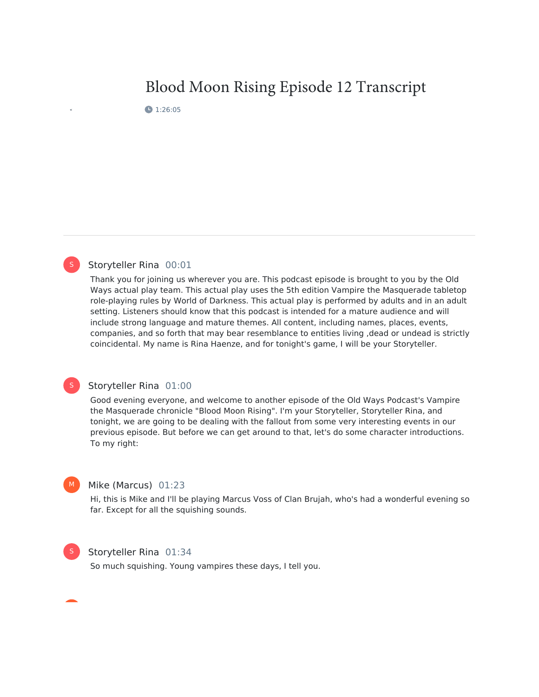# Blood Moon Rising Episode 12 Transcript

● 1:26:05



#### Storyteller Rina 00:01

Thank you for joining us wherever you are. This podcast episode is brought to you by the Old Ways actual play team. This actual play uses the 5th edition Vampire the Masquerade tabletop role-playing rules by World of Darkness. This actual play is performed by adults and in an adult setting. Listeners should know that this podcast is intended for a mature audience and will include strong language and mature themes. All content, including names, places, events, companies, and so forth that may bear resemblance to entities living , dead or undead is strictly coincidental. My name is Rina Haenze, and for tonight's game, I will be your Storyteller.

### S

#### Storyteller Rina 01:00

Good evening everyone, and welcome to another episode of the Old Ways Podcast's Vampire the Masquerade chronicle "Blood Moon Rising". I'm your Storyteller, Storyteller Rina, and tonight, we are going to be dealing with the fallout from some very interesting events in our previous episode. But before we can get around to that, let's do some character introductions. To my right:

#### Mike (Marcus) 01:23

Hi, this is Mike and I'll be playing Marcus Voss of Clan Brujah, who's had a wonderful evening so far. Except for all the squishing sounds.



M

#### Storyteller Rina 01:34

So much squishing. Young vampires these days, I tell you.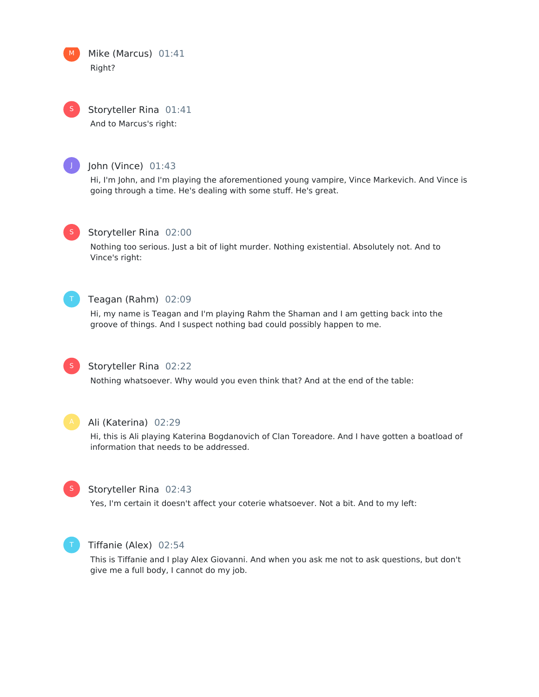Mike (Marcus) 01:41 Right? M

Storyteller Rina 01:41 And to Marcus's right: S



### John (Vince) 01:43

Hi, I'm John, and I'm playing the aforementioned young vampire, Vince Markevich. And Vince is going through a time. He's dealing with some stuff. He's great.



### Storyteller Rina 02:00

Nothing too serious. Just a bit of light murder. Nothing existential. Absolutely not. And to Vince's right:



### Teagan (Rahm) 02:09

Hi, my name is Teagan and I'm playing Rahm the Shaman and I am getting back into the groove of things. And I suspect nothing bad could possibly happen to me.



### Storyteller Rina 02:22

Nothing whatsoever. Why would you even think that? And at the end of the table:



#### Ali (Katerina) 02:29

Hi, this is Ali playing Katerina Bogdanovich of Clan Toreadore. And I have gotten a boatload of information that needs to be addressed.



### Storyteller Rina 02:43

Yes, I'm certain it doesn't affect your coterie whatsoever. Not a bit. And to my left:



#### Tiffanie (Alex) 02:54

This is Tiffanie and I play Alex Giovanni. And when you ask me not to ask questions, but don't give me a full body, I cannot do my job.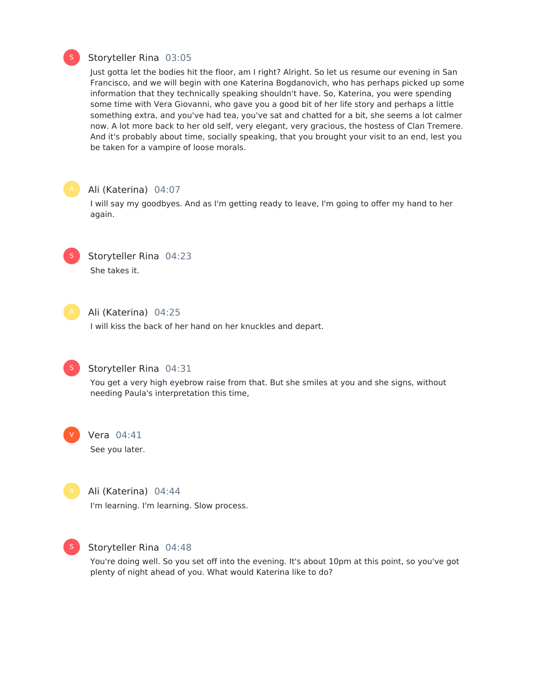

#### Storyteller Rina 03:05

Just gotta let the bodies hit the floor, am I right? Alright. So let us resume our evening in San Francisco, and we will begin with one Katerina Bogdanovich, who has perhaps picked up some information that they technically speaking shouldn't have. So, Katerina, you were spending some time with Vera Giovanni, who gave you a good bit of her life story and perhaps a little something extra, and you've had tea, you've sat and chatted for a bit, she seems a lot calmer now. A lot more back to her old self, very elegant, very gracious, the hostess of Clan Tremere. And it's probably about time, socially speaking, that you brought your visit to an end, lest you be taken for a vampire of loose morals.

#### Ali (Katerina) 04:07

I will say my goodbyes. And as I'm getting ready to leave, I'm going to offer my hand to her again.



### Storyteller Rina 04:23

She takes it.



### Ali (Katerina) 04:25

I will kiss the back of her hand on her knuckles and depart.



### Storyteller Rina 04:31

You get a very high eyebrow raise from that. But she smiles at you and she signs, without needing Paula's interpretation this time,



#### Vera 04:41

See you later.



### Ali (Katerina) 04:44

I'm learning. I'm learning. Slow process.



#### Storyteller Rina 04:48

You're doing well. So you set off into the evening. It's about 10pm at this point, so you've got plenty of night ahead of you. What would Katerina like to do?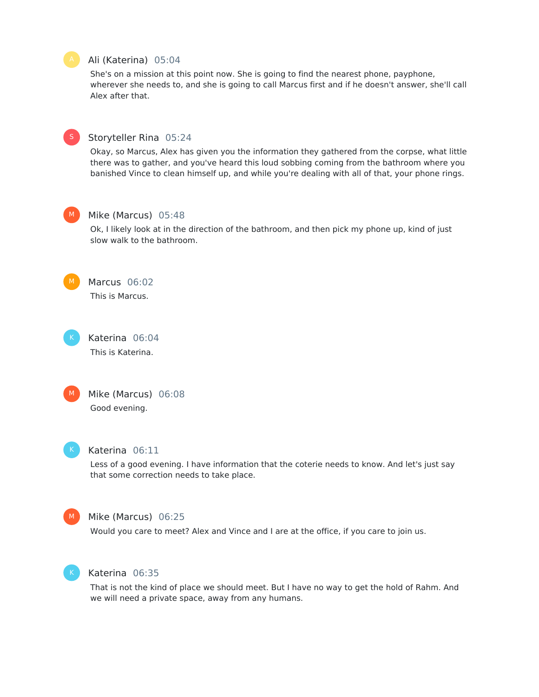### Ali (Katerina) 05:04

She's on a mission at this point now. She is going to find the nearest phone, payphone, wherever she needs to, and she is going to call Marcus first and if he doesn't answer, she'll call Alex after that.



### Storyteller Rina 05:24

Okay, so Marcus, Alex has given you the information they gathered from the corpse, what little there was to gather, and you've heard this loud sobbing coming from the bathroom where you banished Vince to clean himself up, and while you're dealing with all of that, your phone rings.



### Mike (Marcus) 05:48

Ok, I likely look at in the direction of the bathroom, and then pick my phone up, kind of just slow walk to the bathroom.



Marcus 06:02 This is Marcus.

Katerina 06:04 This is Katerina.



### Mike (Marcus) 06:08 Good evening.



#### Katerina 06:11

Less of a good evening. I have information that the coterie needs to know. And let's just say that some correction needs to take place.



#### Mike (Marcus) 06:25

Would you care to meet? Alex and Vince and I are at the office, if you care to join us.



### Katerina 06:35

That is not the kind of place we should meet. But I have no way to get the hold of Rahm. And we will need a private space, away from any humans.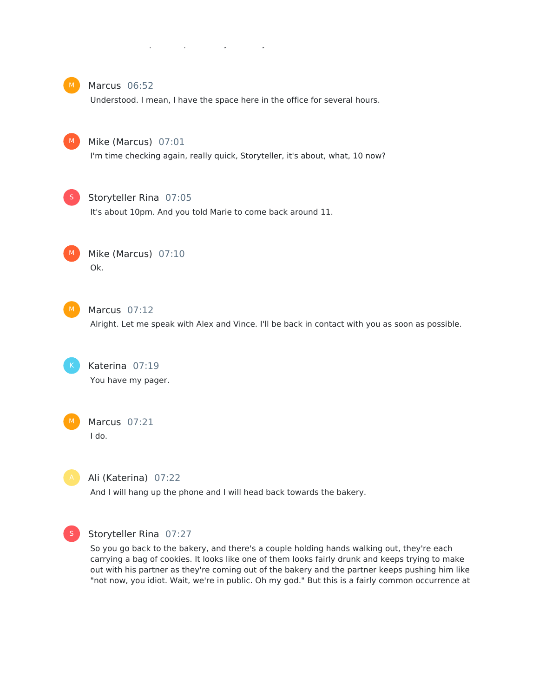### we will need a private space, away from any humans.



### Marcus 06:52

Understood. I mean, I have the space here in the office for several hours.



### Mike (Marcus) 07:01

I'm time checking again, really quick, Storyteller, it's about, what, 10 now?



#### Storyteller Rina 07:05

It's about 10pm. And you told Marie to come back around 11.



Mike (Marcus) 07:10 Ok.



Marcus 07:12

Alright. Let me speak with Alex and Vince. I'll be back in contact with you as soon as possible.

Katerina 07:19 You have my pager.



Marcus 07:21 I do.

Ali (Katerina) 07:22

And I will hang up the phone and I will head back towards the bakery.



### Storyteller Rina 07:27

So you go back to the bakery, and there's a couple holding hands walking out, they're each carrying a bag of cookies. It looks like one of them looks fairly drunk and keeps trying to make out with his partner as they're coming out of the bakery and the partner keeps pushing him like "not now, you idiot. Wait, we're in public. Oh my god." But this is a fairly common occurrence at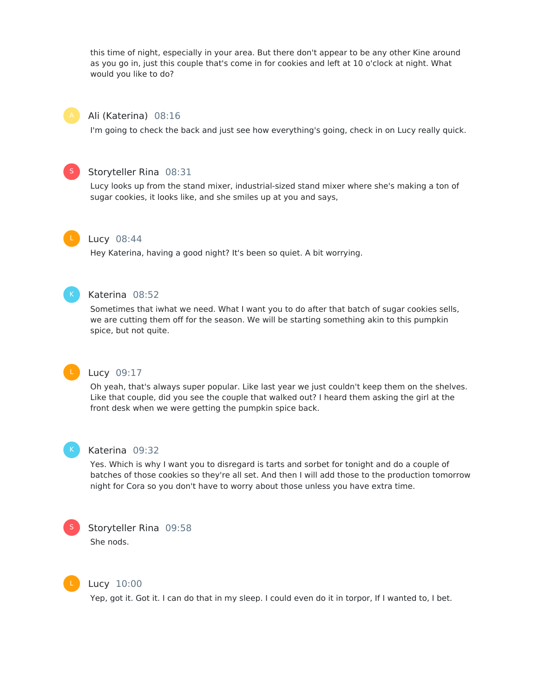this time of night, especially in your area. But there don't appear to be any other Kine around as you go in, just this couple that's come in for cookies and left at 10 o'clock at night. What would you like to do?



### Ali (Katerina) 08:16

I'm going to check the back and just see how everything's going, check in on Lucy really quick.



### Storyteller Rina 08:31

Lucy looks up from the stand mixer, industrial-sized stand mixer where she's making a ton of sugar cookies, it looks like, and she smiles up at you and says,



#### Lucy 08:44

Hey Katerina, having a good night? It's been so quiet. A bit worrying.



### Katerina 08:52

Sometimes that iwhat we need. What I want you to do after that batch of sugar cookies sells, we are cutting them off for the season. We will be starting something akin to this pumpkin spice, but not quite.



### Lucy 09:17

Oh yeah, that's always super popular. Like last year we just couldn't keep them on the shelves. Like that couple, did you see the couple that walked out? I heard them asking the girl at the front desk when we were getting the pumpkin spice back.



#### Katerina 09:32

Yes. Which is why I want you to disregard is tarts and sorbet for tonight and do a couple of batches of those cookies so they're all set. And then I will add those to the production tomorrow night for Cora so you don't have to worry about those unless you have extra time.



Storyteller Rina 09:58 She nods.



#### Lucy 10:00

Yep, got it. Got it. I can do that in my sleep. I could even do it in torpor, If I wanted to, I bet.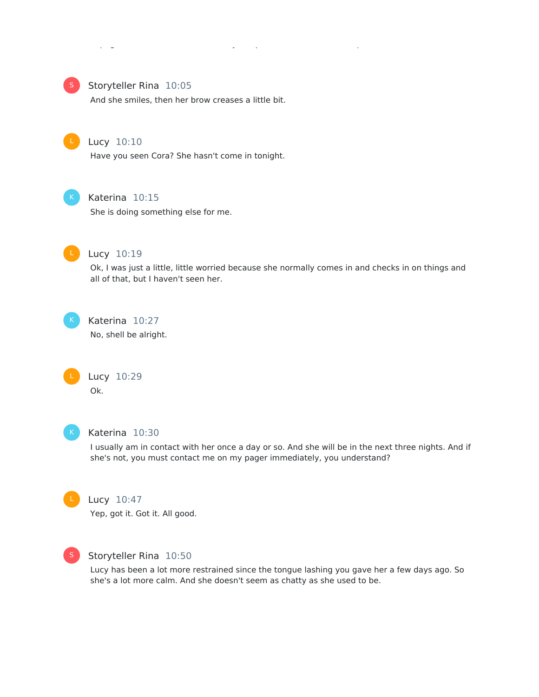

### Storyteller Rina 10:05

And she smiles, then her brow creases a little bit.



#### Lucy 10:10

Have you seen Cora? She hasn't come in tonight.



### Katerina 10:15

She is doing something else for me.



### Lucy 10:19

Ok, I was just a little, little worried because she normally comes in and checks in on things and all of that, but I haven't seen her.



#### Katerina 10:27

No, shell be alright.





### Katerina 10:30

I usually am in contact with her once a day or so. And she will be in the next three nights. And if she's not, you must contact me on my pager immediately, you understand?



#### Lucy 10:47

Yep, got it. Got it. All good.



#### Storyteller Rina 10:50

Lucy has been a lot more restrained since the tongue lashing you gave her a few days ago. So she's a lot more calm. And she doesn't seem as chatty as she used to be.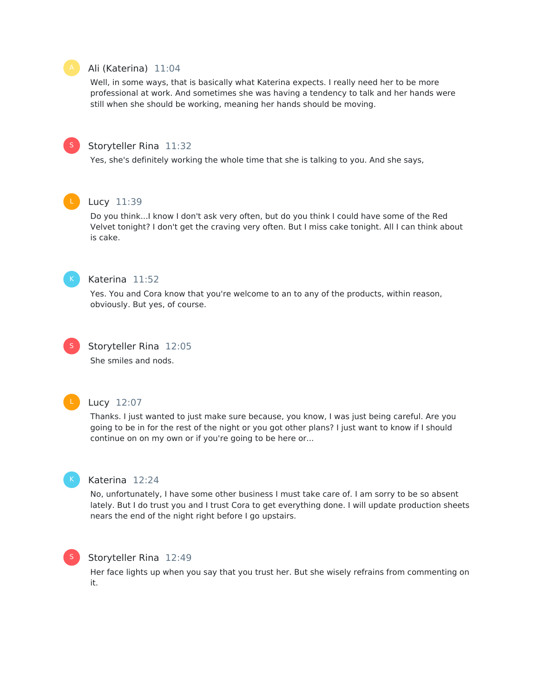### Ali (Katerina) 11:04

Well, in some ways, that is basically what Katerina expects. I really need her to be more professional at work. And sometimes she was having a tendency to talk and her hands were still when she should be working, meaning her hands should be moving.



#### Storyteller Rina 11:32

Yes, she's definitely working the whole time that she is talking to you. And she says,

### Lucy 11:39

Do you think...I know I don't ask very often, but do you think I could have some of the Red Velvet tonight? I don't get the craving very often. But I miss cake tonight. All I can think about is cake.



#### Katerina 11:52

Yes. You and Cora know that you're welcome to an to any of the products, within reason, obviously. But yes, of course.



### Storyteller Rina 12:05

She smiles and nods.



#### Lucy 12:07

Thanks. I just wanted to just make sure because, you know, I was just being careful. Are you going to be in for the rest of the night or you got other plans? I just want to know if I should continue on on my own or if you're going to be here or...



#### Katerina 12:24

No, unfortunately, I have some other business I must take care of. I am sorry to be so absent lately. But I do trust you and I trust Cora to get everything done. I will update production sheets nears the end of the night right before I go upstairs.



### Storyteller Rina 12:49

Her face lights up when you say that you trust her. But she wisely refrains from commenting on it.

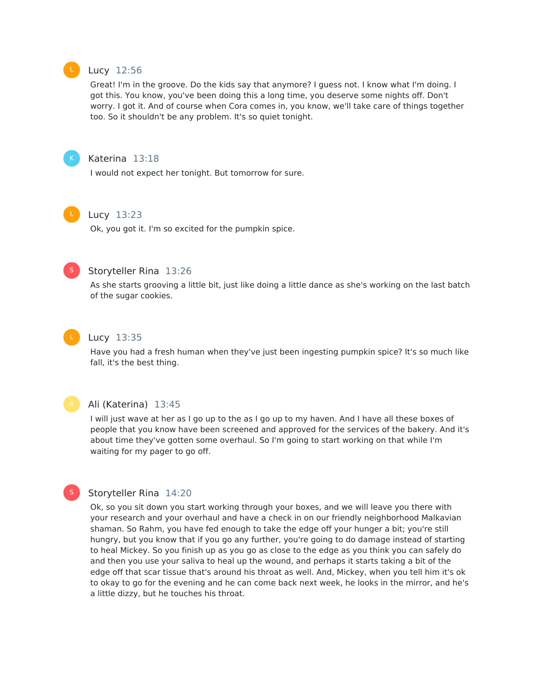

#### Lucy 12:56

Great! I'm in the groove. Do the kids say that anymore? I guess not. I know what I'm doing. I got this. You know, you've been doing this a long time, you deserve some nights off. Don't worry. I got it. And of course when Cora comes in, you know, we'll take care of things together too. So it shouldn't be any problem. It's so quiet tonight.



#### Katerina 13:18

I would not expect her tonight. But tomorrow for sure.



### Lucy 13:23

Ok, you got it. I'm so excited for the pumpkin spice.



### Storyteller Rina 13:26

As she starts grooving a little bit, just like doing a little dance as she's working on the last batch of the sugar cookies.



#### Lucy 13:35

Have you had a fresh human when they've just been ingesting pumpkin spice? It's so much like fall, it's the best thing.



#### Ali (Katerina) 13:45

I will just wave at her as I go up to the as I go up to my haven. And I have all these boxes of people that you know have been screened and approved for the services of the bakery. And it's about time they've gotten some overhaul. So I'm going to start working on that while I'm waiting for my pager to go off.

### S

### Storyteller Rina 14:20

Ok, so you sit down you start working through your boxes, and we will leave you there with your research and your overhaul and have a check in on our friendly neighborhood Malkavian shaman. So Rahm, you have fed enough to take the edge off your hunger a bit; you're still hungry, but you know that if you go any further, you're going to do damage instead of starting to heal Mickey. So you finish up as you go as close to the edge as you think you can safely do and then you use your saliva to heal up the wound, and perhaps it starts taking a bit of the edge off that scar tissue that's around his throat as well. And, Mickey, when you tell him it's ok to okay to go for the evening and he can come back next week, he looks in the mirror, and he's a little dizzy, but he touches his throat.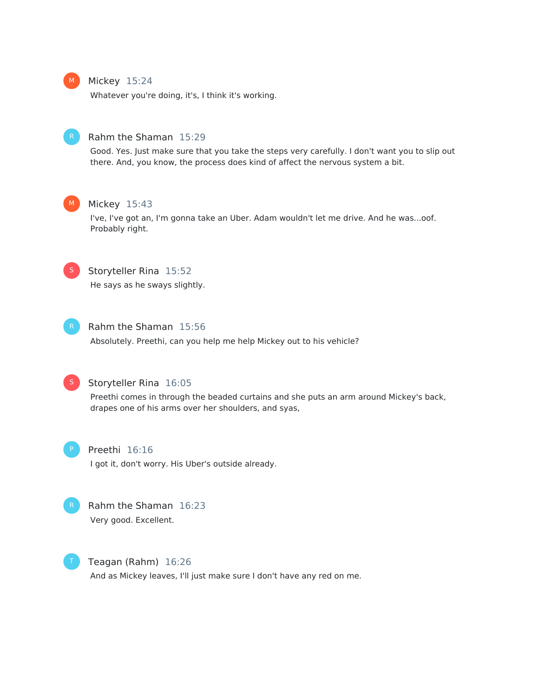

#### Mickey 15:24

Whatever you're doing, it's, I think it's working.



#### Rahm the Shaman 15:29

Good. Yes. Just make sure that you take the steps very carefully. I don't want you to slip out there. And, you know, the process does kind of affect the nervous system a bit.



#### Mickey 15:43

I've, I've got an, I'm gonna take an Uber. Adam wouldn't let me drive. And he was...oof. Probably right.



### Storyteller Rina 15:52

He says as he sways slightly.



#### Rahm the Shaman 15:56

Absolutely. Preethi, can you help me help Mickey out to his vehicle?



### Storyteller Rina 16:05

Preethi comes in through the beaded curtains and she puts an arm around Mickey's back, drapes one of his arms over her shoulders, and syas,



### Preethi 16:16

I got it, don't worry. His Uber's outside already.



### Rahm the Shaman 16:23 Very good. Excellent.

Teagan (Rahm) 16:26

And as Mickey leaves, I'll just make sure I don't have any red on me.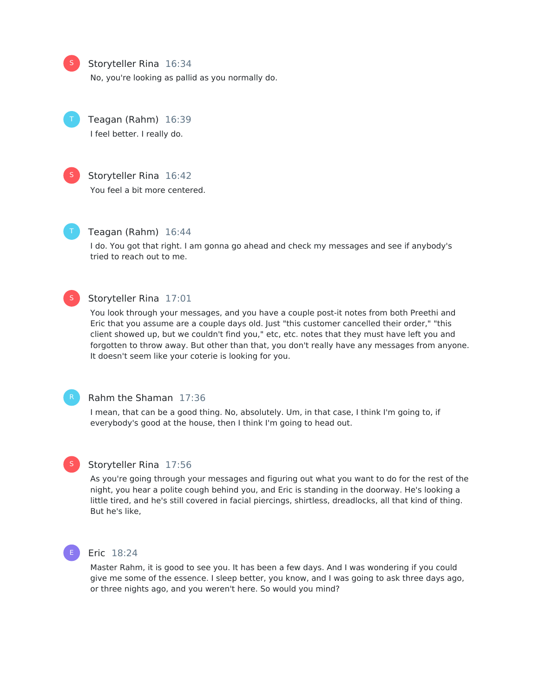Storyteller Rina 16:34

No, you're looking as pallid as you normally do.



S

Teagan (Rahm) 16:39 I feel better. I really do.



S

### Storyteller Rina 16:42

You feel a bit more centered.



### Teagan (Rahm) 16:44

I do. You got that right. I am gonna go ahead and check my messages and see if anybody's tried to reach out to me.



### Storyteller Rina 17:01

You look through your messages, and you have a couple post-it notes from both Preethi and Eric that you assume are a couple days old. Just "this customer cancelled their order," "this client showed up, but we couldn't find you," etc, etc. notes that they must have left you and forgotten to throw away. But other than that, you don't really have any messages from anyone. It doesn't seem like your coterie is looking for you.

#### Rahm the Shaman 17:36

I mean, that can be a good thing. No, absolutely. Um, in that case, I think I'm going to, if everybody's good at the house, then I think I'm going to head out.



### Storyteller Rina 17:56

As you're going through your messages and figuring out what you want to do for the rest of the night, you hear a polite cough behind you, and Eric is standing in the doorway. He's looking a little tired, and he's still covered in facial piercings, shirtless, dreadlocks, all that kind of thing. But he's like,



#### Eric 18:24

Master Rahm, it is good to see you. It has been a few days. And I was wondering if you could give me some of the essence. I sleep better, you know, and I was going to ask three days ago, or three nights ago, and you weren't here. So would you mind?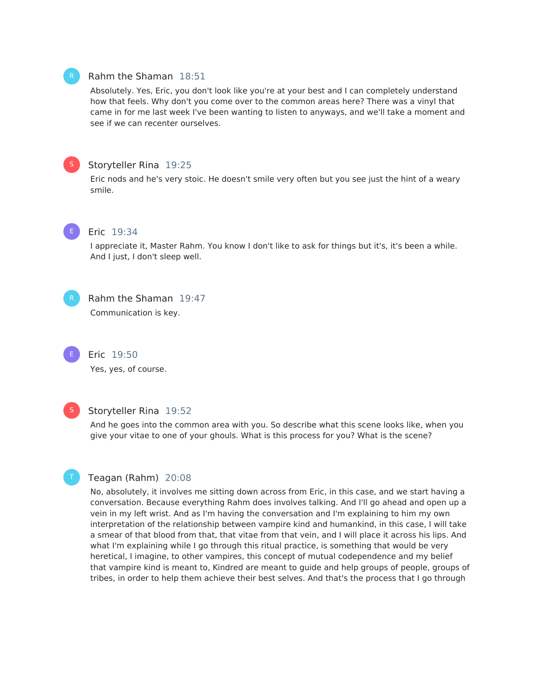#### Rahm the Shaman 18:51

Absolutely. Yes, Eric, you don't look like you're at your best and I can completely understand how that feels. Why don't you come over to the common areas here? There was a vinyl that came in for me last week I've been wanting to listen to anyways, and we'll take a moment and see if we can recenter ourselves.



### Storyteller Rina 19:25

Eric nods and he's very stoic. He doesn't smile very often but you see just the hint of a weary smile.



#### Eric 19:34

I appreciate it, Master Rahm. You know Idon't like to ask for things but it's, it's been a while. And I just, I don't sleep well.



## Rahm the Shaman 19:47

Communication is key.

Yes, yes, of course.

Eric 19:50



T

#### Storyteller Rina 19:52

And he goes into the common area with you. So describe what this scene looks like, when you give your vitae to one of your ghouls. What is this process for you? What is the scene?

#### Teagan (Rahm) 20:08

No, absolutely, it involves me sitting down across from Eric, in this case, and we start having a conversation. Because everything Rahm does involves talking. And I'll go ahead and open up a vein in my left wrist. And as I'm having the conversation and I'm explaining to him my own interpretation of the relationship between vampire kind and humankind, in this case, I will take a smear of that blood from that, that vitae from that vein, and I will place it across his lips. And what I'm explaining while I go through this ritual practice, is something that would be very heretical, I imagine, to other vampires, this concept of mutual codependence and my belief that vampire kind is meant to, Kindred are meant to guide and help groups of people, groups of tribes, in order to help them achieve their best selves. And that's the process that I go through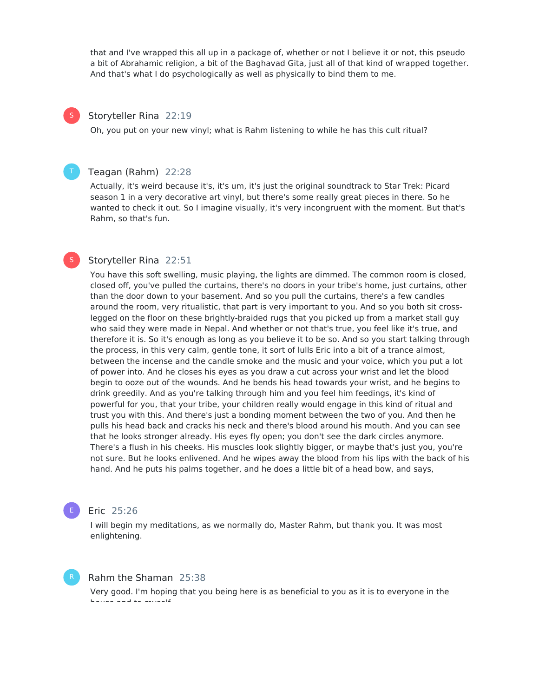that and I've wrapped this all up in a package of, whether or not I believe it or not, this pseudo a bit of Abrahamic religion, a bit of the Baghavad Gita, just all of that kind of wrapped together. And that's what I do psychologically as well as physically to bind them to me.

#### Storyteller Rina 22:19

S

S

Oh, you put on your new vinyl; what is Rahm listening to while he has this cult ritual?

#### Teagan (Rahm) 22:28

Actually, it's weird because it's, it's um, it's just the original soundtrack to Star Trek: Picard season 1 in a very decorative art vinyl, but there's some really great pieces in there. So he wanted to check it out. So I imagine visually, it's very incongruent with the moment. But that's Rahm, so that's fun.

### Storyteller Rina 22:51

You have this soft swelling, music playing, the lights are dimmed. The common room is closed, closed off, you've pulled the curtains, there's no doors in your tribe's home, just curtains, other than the door down to your basement. And so you pull the curtains, there's a few candles around the room, very ritualistic, that part is very important to you. And so you both sit crosslegged on the floor on these brightly-braided rugs that you picked up from a market stall guy who said they were made in Nepal. And whether or not that's true, you feel like it's true, and therefore it is. So it's enough as long as you believe it to be so. And so you start talking through the process, in this very calm, gentle tone, it sort of lulls Eric into a bit of a trance almost, between the incense and the candle smoke and the music and your voice, which you put a lot of power into. And he closes his eyes as you draw a cut across your wrist and let the blood begin to ooze out of the wounds. And he bends his head towards your wrist, and he begins to drink greedily. And as you're talking through him and you feel him feedings, it's kind of powerful for you, that your tribe, your children really would engage in this kind of ritual and trust you with this. And there's just a bonding moment between the two of you. And then he pulls his head back and cracks his neck and there's blood around his mouth. And you can see that he looks stronger already. His eyes fly open; you don't see the dark circles anymore. There's a flush in his cheeks. His muscles look slightly bigger, or maybe that's just you, you're not sure. But he looks enlivened. And he wipes away the blood from his lips with the back of his hand. And he puts his palms together, and he does a little bit of a head bow, and says,

#### Eric 25:26

I will begin my meditations, as we normally do, Master Rahm, but thank you. It was most enlightening.

#### Rahm the Shaman 25:38

Very good. I'm hoping that you being here is as beneficial to you as it is to everyone in the house and to myself.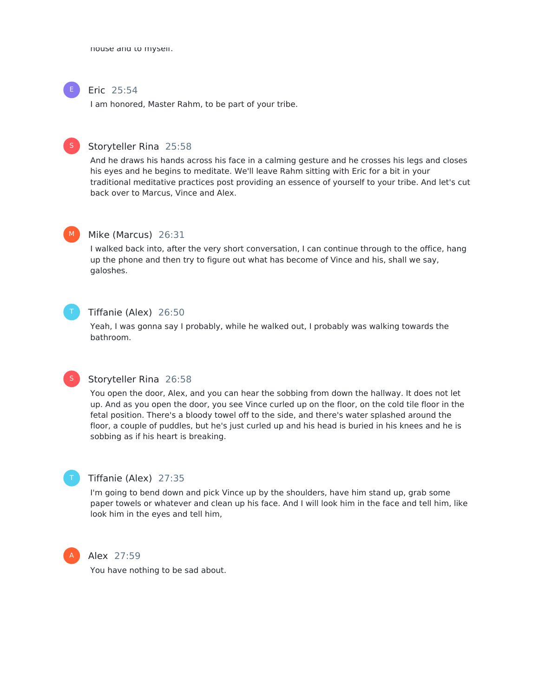house and to myself.

### Eric 25:54

I am honored, Master Rahm, to be part of your tribe.



#### Storyteller Rina 25:58

And he draws his hands across his face in a calming gesture and he crosses his legs and closes his eyes and he begins to meditate. We'll leave Rahm sitting with Eric for a bit in your traditional meditative practices post providing an essence of yourself to your tribe. And let's cut back over to Marcus, Vince and Alex.



#### Mike (Marcus) 26:31

I walked back into, after the very short conversation, I can continue through to the office, hang up the phone and then try to figure out what has become of Vince and his, shall we say, galoshes.



### Tiffanie (Alex) 26:50

Yeah, I was gonna say I probably, while he walked out, I probably was walking towards the bathroom.



### Storyteller Rina 26:58

You open the door, Alex, and you can hear the sobbing from down the hallway. It does not let up. And as you open the door, you see Vince curled up on the floor, on the cold tile floor in the fetal position. There's a bloody towel off to the side, and there's water splashed around the floor, a couple of puddles, but he's just curled up and his head is buried in his knees and he is sobbing as if his heart is breaking.



#### Tiffanie (Alex) 27:35

I'm going to bend down and pick Vince up by the shoulders, have him stand up, grab some paper towels or whatever and clean up his face. And I will look him in the face and tell him, like look him in the eyes and tell him,



#### Alex 27:59

You have nothing to be sad about.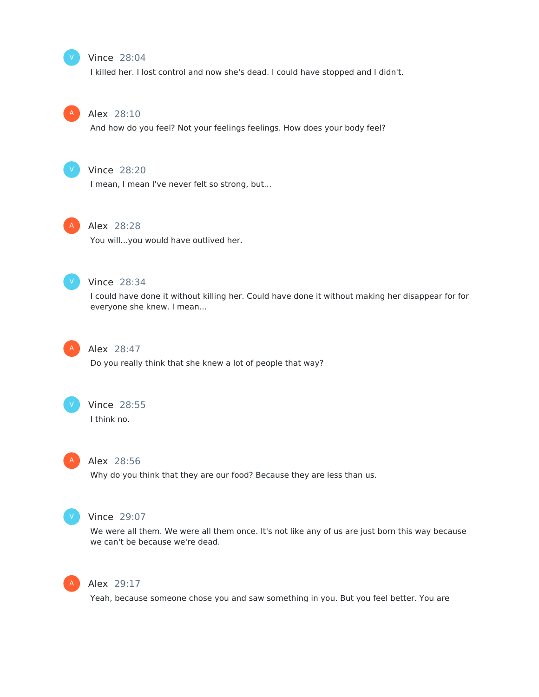### Vince 28:04

I killed her. I lost control and now she's dead. I could have stopped and I didn't.



V

#### Alex 28:10

And how do you feel? Not your feelings feelings. How does your body feel?



### Vince 28:20

I mean, I mean I've never felt so strong, but...



#### Alex 28:28

You will...you would have outlived her.



#### Vince 28:34

I could have done it without killing her. Could have done it without making her disappear for for everyone she knew. I mean...



### Alex 28:47

Do you really think that she knew a lot of people that way?



#### Vince 28:55

I think no.



### Alex 28:56

Why do you think that they are our food? Because they are less than us.



#### Vince 29:07

We were all them. We were all them once. It's not like any of us are just born this way because we can't be because we're dead.



### Alex 29:17

Yeah, because someone chose you and saw something in you. But you feel better. You are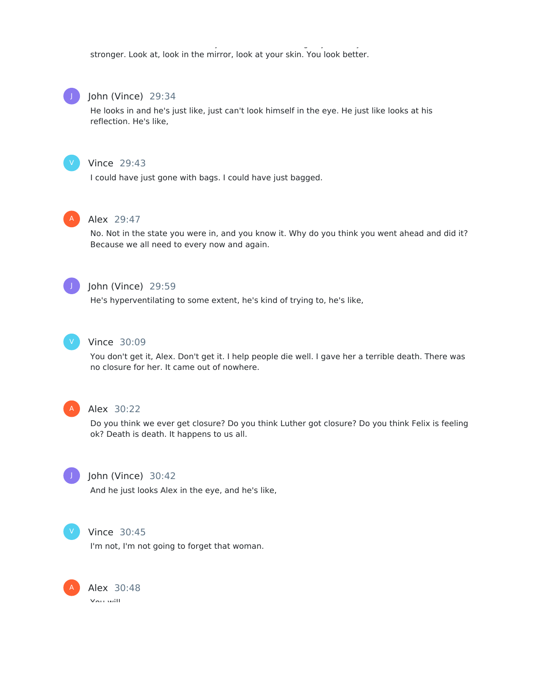Yeah, because someone chose you and saw something in you. But you feel better. You are stronger. Look at, look in the mirror, look at your skin. You look better.



#### John (Vince) 29:34

He looks in and he's just like, just can't look himself in the eye. He just like looks at his reflection. He's like,



#### Vince 29:43

I could have just gone with bags. I could have just bagged.



#### Alex 29:47

No. Not in the state you were in, and you know it. Why do you think you went ahead and did it? Because we all need to every now and again.



### John (Vince) 29:59

He's hyperventilating to some extent, he's kind of trying to, he's like,



### Vince 30:09

You don't get it, Alex. Don't get it. I help people die well. I gave her a terrible death. There was no closure for her. It came out of nowhere.



#### Alex 30:22

Do you think we ever get closure? Do you think Luther got closure? Do you think Felix is feeling ok? Death is death. It happens to us all.



#### John (Vince) 30:42

And he just looks Alex in the eye, and he's like,



### Vince 30:45

I'm not, I'm not going to forget that woman.

Alex 30:48 You will. A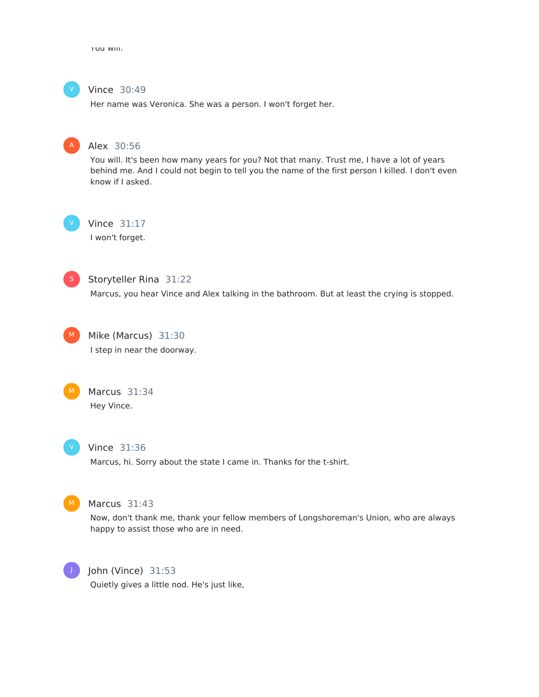You will.



### Vince 30:49

Her name was Veronica. She was a person. I won't forget her.



### Alex 30:56

You will. It's been how many years for you? Not that many. Trust me, I have a lot of years behind me. And I could not begin to tell you the name of the first person I killed. I don't even know if I asked.

V

### Vince 31:17

I won't forget.



### Storyteller Rina 31:22

Marcus, you hear Vince and Alex talking in the bathroom. But at least the crying is stopped.



Mike (Marcus) 31:30 I step in near the doorway.



Marcus 31:34 Hey Vince.



### Vince 31:36

Marcus, hi. Sorry about the state I came in. Thanks for the t-shirt.



### Marcus 31:43

Now, don't thank me, thank your fellow members of Longshoreman's Union, who are always happy to assist those who are in need.



#### John (Vince) 31:53

Quietly gives a little nod. He's just like,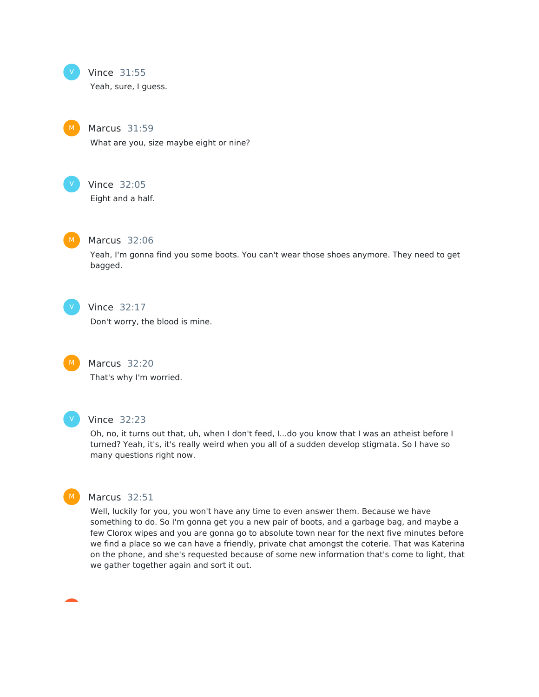

#### Vince 31:55

Yeah, sure, I guess.

Marcus 31:59 What are you, size maybe eight or nine?



Vince 32:05

Eight and a half.



#### Marcus 32:06

Yeah, I'm gonna find you some boots. You can't wear those shoes anymore. They need to get bagged.



### Vince 32:17

Don't worry, the blood is mine.



Marcus 32:20

That's why I'm worried.



#### Vince 32:23

Oh, no, it turns out that, uh, when I don't feed, I...do you know that I was an atheist before I turned? Yeah, it's, it's really weird when you all of a sudden develop stigmata. So I have so many questions right now.



### Marcus 32:51

Well, luckily for you, you won't have any time to even answer them. Because we have something to do. So I'm gonna get you a new pair of boots, and a garbage bag, and maybe a few Clorox wipes and you are gonna go to absolute town near for the next five minutes before we find a place so we can have a friendly, private chat amongst the coterie. That was Katerina on the phone, and she's requested because of some new information that's come to light, that we gather together again and sort it out.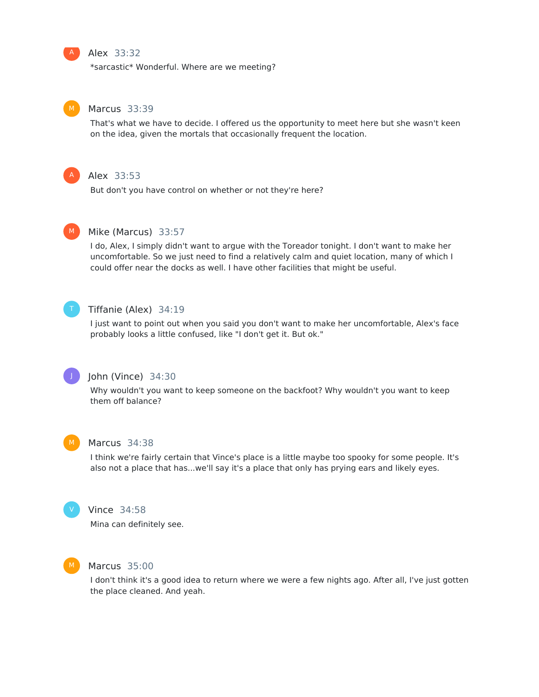

### Alex 33:32

\*sarcastic\* Wonderful. Where are we meeting?



#### Marcus 33:39

That's what we have to decide. I offered us the opportunity to meet here but she wasn't keen on the idea, given the mortals that occasionally frequent the location.



### Alex 33:53

But don't you have control on whether or not they're here?



#### Mike (Marcus) 33:57

I do, Alex, I simply didn't want to argue with the Toreador tonight. I don't want to make her uncomfortable. So we just need to find a relatively calm and quiet location, many of which I could offer near the docks as well. I have other facilities that might be useful.



### Tiffanie (Alex) 34:19

I just want to point out when you said you don't want to make her uncomfortable, Alex's face probably looks a little confused, like "I don't get it. But ok."



#### John (Vince) 34:30

Why wouldn't you want to keep someone on the backfoot? Why wouldn't you want to keep them off balance?



#### Marcus 34:38

I think we're fairly certain that Vince's place is a little maybe too spooky for some people. It's also not a place that has...we'll say it's a place that only has prying ears and likely eyes.



### Vince 34:58

Mina can definitely see.



### Marcus 35:00

I don't think it's a good idea to return where we were a few nights ago. After all, I've just gotten the place cleaned. And yeah.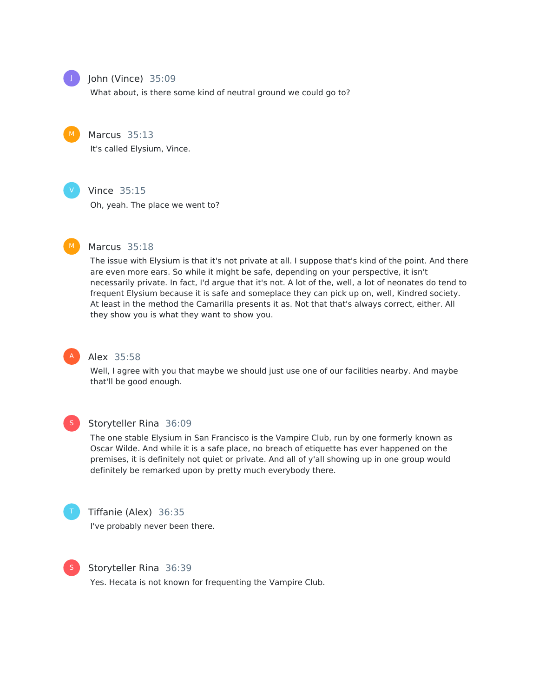

### John (Vince) 35:09

What about, is there some kind of neutral ground we could go to?



#### Marcus 35:13

It's called Elysium, Vince.



#### Vince 35:15

Oh, yeah. The place we went to?



#### Marcus 35:18

The issue with Elysium is that it's not private at all. I suppose that's kind of the point. And there are even more ears. So while it might be safe, depending on your perspective, it isn't necessarily private. In fact, I'd argue that it's not. A lot of the, well, a lot of neonates do tend to frequent Elysium because it is safe and someplace they can pick up on, well, Kindred society. At least in the method the Camarilla presents it as. Not that that's always correct, either. All they show you is what they want to show you.



### Alex 35:58

Well, I agree with you that maybe we should just use one of our facilities nearby. And maybe that'll be good enough.



#### Storyteller Rina 36:09

The one stable Elysium in San Francisco is the Vampire Club, run by one formerly known as Oscar Wilde. And while it is a safe place, no breach of etiquette has ever happened on the premises, it is definitely not quiet or private. And all of y'all showing up in one group would definitely be remarked upon by pretty much everybody there.



### Tiffanie (Alex) 36:35

I've probably never been there.



#### Storyteller Rina 36:39

Yes. Hecata is not known for frequenting the Vampire Club.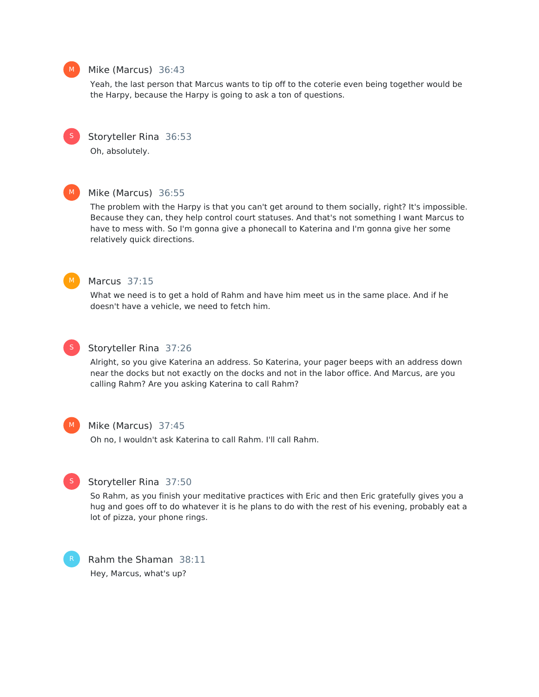

### Mike (Marcus) 36:43

Yeah, the last person that Marcus wants to tip off to the coterie even being together would be the Harpy, because the Harpy is going to ask a ton of questions.



Storyteller Rina 36:53

Oh, absolutely.

### $M$

Mike (Marcus) 36:55

The problem with the Harpy is that you can't get around to them socially, right? It's impossible. Because they can, they help control court statuses. And that's not something I want Marcus to have to mess with. So I'm gonna give a phonecall to Katerina and I'm gonna give her some relatively quick directions.



### Marcus 37:15

What we need is to get a hold of Rahm and have him meet us in the same place. And if he doesn't have a vehicle, we need to fetch him.



#### Storyteller Rina 37:26

Alright, so you give Katerina an address. So Katerina, your pager beeps with an address down near the docks but not exactly on the docks and not in the labor office. And Marcus, are you calling Rahm? Are you asking Katerina to call Rahm?



### Mike (Marcus) 37:45

Oh no, I wouldn't ask Katerina to call Rahm. I'll call Rahm.



#### Storyteller Rina 37:50

So Rahm, as you finish your meditative practices with Eric and then Eric gratefully gives you a hug and goes off to do whatever it is he plans to do with the rest of his evening, probably eat a lot of pizza, your phone rings.



Rahm the Shaman 38:11 Hey, Marcus, what's up?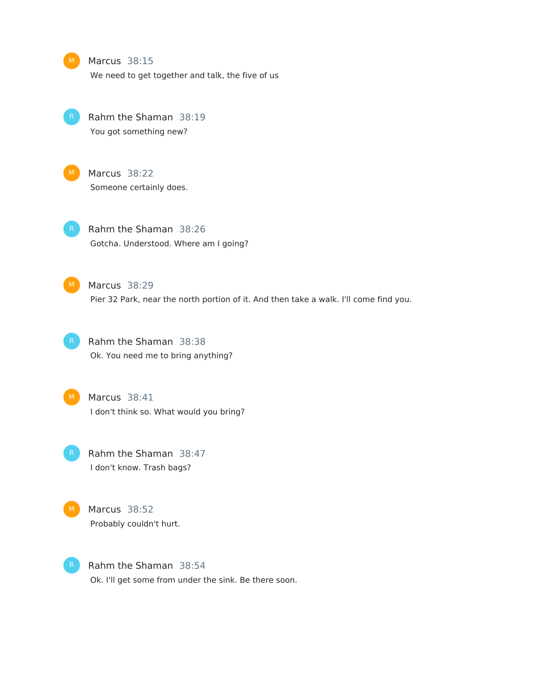|    | Marcus 38:15<br>We need to get together and talk, the five of us                                      |
|----|-------------------------------------------------------------------------------------------------------|
| K. | Rahm the Shaman 38:19<br>You got something new?                                                       |
| M. | Marcus 38:22<br>Someone certainly does.                                                               |
| R. | Rahm the Shaman 38:26<br>Gotcha. Understood. Where am I going?                                        |
| M  | Marcus 38:29<br>Pier 32 Park, near the north portion of it. And then take a walk. I'll come find you. |
|    | Rahm the Shaman 38:38<br>Ok. You need me to bring anything?                                           |
| M. | Marcus 38:41<br>I don't think so. What would you bring?                                               |
|    | Rahm the Shaman 38:47<br>I don't know. Trash bags?                                                    |
| M  | Marcus 38:52<br>Probably couldn't hurt.                                                               |
|    | Rahm the Shaman 38:54                                                                                 |

Ok. I'll get some from under the sink. Be there soon.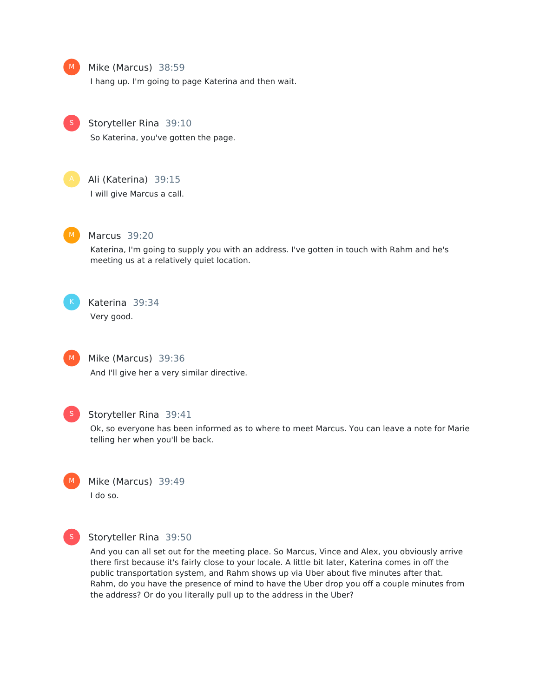

### Mike (Marcus) 38:59

I hang up. I'm going to page Katerina and then wait.



Storyteller Rina 39:10

So Katerina, you've gotten the page.



### Ali (Katerina) 39:15

I will give Marcus a call.



#### Marcus 39:20

Katerina, I'm going to supply you with an address. I've gotten in touch with Rahm and he's meeting us at a relatively quiet location.



 $M$ 

### Katerina 39:34

Very good.

Mike (Marcus) 39:36 And I'll give her a very similar directive.



#### Storyteller Rina 39:41

Ok, so everyone has been informed as to where to meet Marcus. You can leave a note for Marie telling her when you'll be back.





#### Storyteller Rina 39:50

And you can all set out for the meeting place. So Marcus, Vince and Alex, you obviously arrive there first because it's fairly close to your locale. A little bit later, Katerina comes in off the public transportation system, and Rahm shows up via Uber about five minutes after that. Rahm, do you have the presence of mind to have the Uber drop you off a couple minutes from the address? Or do you literally pull up to the address in the Uber?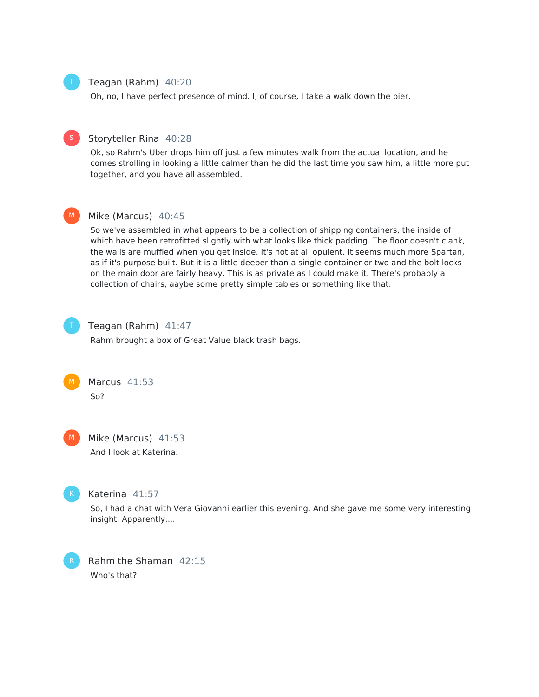### Teagan (Rahm) 40:20

Oh, no, I have perfect presence of mind. I, of course, I take a walk down the pier.



Ok, so Rahm's Uber drops him off just a few minutes walk from the actual location, and he comes strolling in looking a little calmer than he did the last time you saw him, a little more put together, and you have all assembled.



#### Mike (Marcus) 40:45

So we've assembled in what appears to be a collection of shipping containers, the inside of which have been retrofitted slightly with what looks like thick padding. The floor doesn't clank, the walls are muffled when you get inside. It's not at all opulent. It seems much more Spartan, as if it's purpose built. But it is a little deeper than a single container or two and the bolt locks on the main door are fairly heavy. This is as private as I could make it. There's probably a collection of chairs, aaybe some pretty simple tables or something like that.



Teagan (Rahm) 41:47

Rahm brought a box of Great Value black trash bags.



M

Mike (Marcus) 41:53 And I look at Katerina.



### Katerina 41:57

So, I had a chat with Vera Giovanni earlier this evening. And she gave me some very interesting insight. Apparently....

Rahm the Shaman 42:15 Who's that?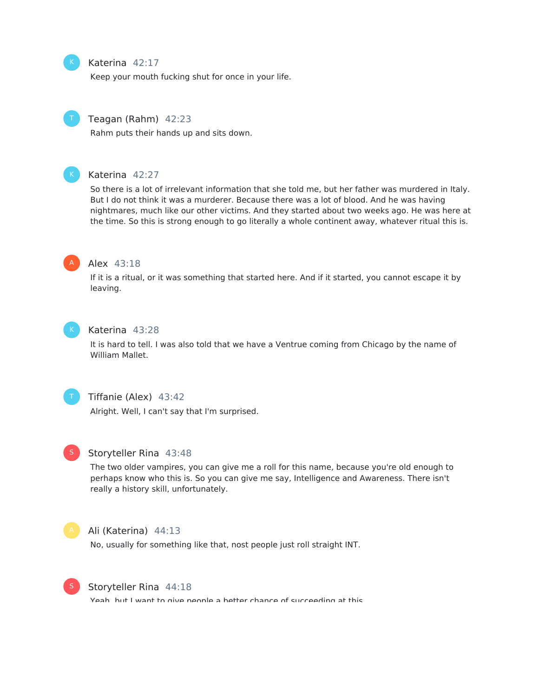### Katerina 42:17

Keep your mouth fucking shut for once in your life.

### Teagan (Rahm) 42:23

Rahm puts their hands up and sits down.



#### Katerina 42:27

So there is a lot of irrelevant information that she told me, but her father was murdered in Italy. But I do not think it was a murderer. Because there was a lot of blood. And he was having nightmares, much like our other victims. And they started about two weeks ago. He was here at the time. So this is strong enough to go literally a whole continent away, whatever ritual this is.



#### Alex 43:18

If it is a ritual, or it was something that started here. And if it started, you cannot escape it by leaving.



#### Katerina 43:28

It is hard to tell. I was also told that we have a Ventrue coming from Chicago by the name of William Mallet.



### Tiffanie (Alex) 43:42

Alright. Well, I can't say that I'm surprised.



#### Storyteller Rina 43:48

The two older vampires, you can give me a roll for this name, because you're old enough to perhaps know who this is. So you can give me say, Intelligence and Awareness. There isn't really a history skill, unfortunately.



#### Ali (Katerina) 44:13

No, usually for something like that, nost people just roll straight INT.



#### Storyteller Rina 44:18

Yeah, but I want to give people a better chance of succeeding at this.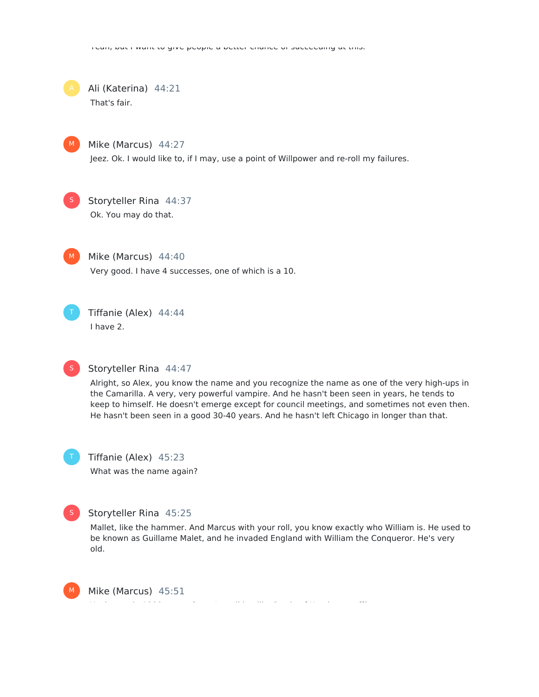Ali (Katerina) 44:21 That's fair.



Mike (Marcus) 44:27

Jeez. Ok. I would like to, if I may, use a point of Willpower and re-roll my failures.



Storyteller Rina 44:37 Ok. You may do that.



Mike (Marcus) 44:40

Very good. I have 4 successes, one of which is a 10.



Tiffanie (Alex) 44:44 I have 2.



### Storyteller Rina 44:47

Alright, so Alex, you know the name and you recognize the name as one of the very high-ups in the Camarilla. A very, very powerful vampire. And he hasn't been seen in years, he tends to keep to himself. He doesn't emerge except for council meetings, and sometimes not even then. He hasn't been seen in a good 30-40 years. And he hasn't left Chicago in longer than that.

Tiffanie (Alex) 45:23 What was the name again?



### Storyteller Rina 45:25

Mallet, like the hammer. And Marcus with your roll, you know exactly who William is. He used to be known as Guillame Malet, and he invaded England with William the Conqueror. He's very old.



Mike (Marcus) 45:51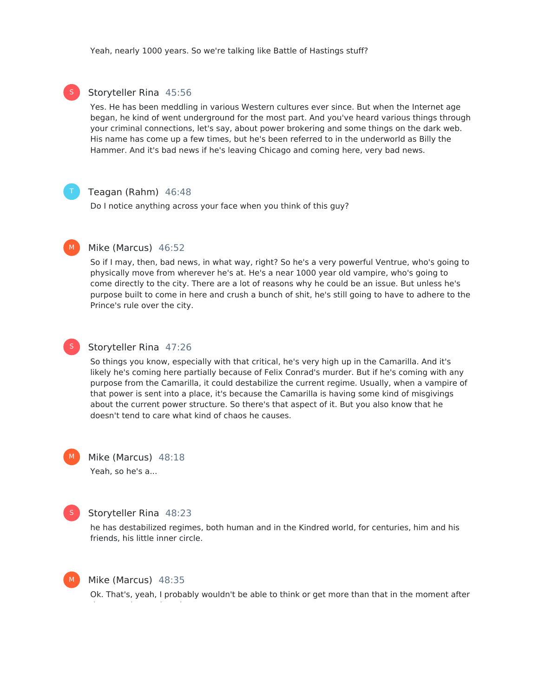### Storyteller Rina 45:56

Yes. He has been meddling in various Western cultures ever since. But when the Internet age began, he kind of went underground for the most part. And you've heard various things through your criminal connections, let's say, about power brokering and some things on the dark web. His name has come up a few times, but he's been referred to in the underworld as Billy the Hammer. And it's bad news if he's leaving Chicago and coming here, very bad news.

S

#### Teagan (Rahm) 46:48

Do I notice anything across your face when you think of this guy?

### $M<sub>1</sub>$

#### Mike (Marcus) 46:52

So if I may, then, bad news, in what way, right? So he's a very powerful Ventrue, who's going to physically move from wherever he's at. He's a near 1000 year old vampire, who's going to come directly to the city. There are a lot of reasons why he could be an issue. But unless he's purpose built to come in here and crush a bunch of shit, he's still going to have to adhere to the Prince's rule over the city.



#### Storyteller Rina 47:26

So things you know, especially with that critical, he's very high up in the Camarilla. And it's likely he's coming here partially because of Felix Conrad's murder. But if he's coming with any purpose from the Camarilla, it could destabilize the current regime. Usually, when a vampire of that power is sent into a place, it's because the Camarilla is having some kind of misgivings about the current power structure. So there's that aspect of it. But you also know that he doesn't tend to care what kind of chaos he causes.

Mike (Marcus) 48:18 Yeah, so he's a...  $M<sub>1</sub>$ 



### Storyteller Rina 48:23

he has destabilized regimes, both human and in the Kindred world, for centuries, him and his friends, his little inner circle.



#### Mike (Marcus) 48:35

Ok. That's, yeah, I probably wouldn't be able to think or get more than that in the moment after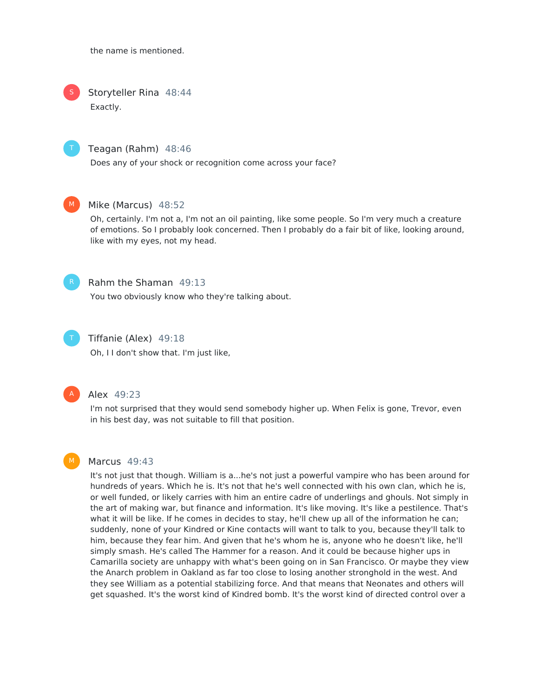the name is mentioned.

Storyteller Rina 48:44 Exactly. S



#### Teagan (Rahm) 48:46

Does any of your shock or recognition come across your face?



#### Mike (Marcus) 48:52

Oh, certainly. I'm not a, I'm not an oil painting, like some people. So I'm very much a creature of emotions. So I probably look concerned. Then I probably do a fair bit of like, looking around, like with my eyes, not my head.



### Rahm the Shaman 49:13

You two obviously know who they're talking about.



### Tiffanie (Alex) 49:18

Oh, I I don't show that. I'm just like,



#### Alex 49:23

I'm not surprised that they would send somebody higher up. When Felix is gone, Trevor, even in his best day, was not suitable to fill that position.



### Marcus 49:43

It's not just that though. William is a...he's not just a powerful vampire who has been around for hundreds of years. Which he is. It's not that he's well connected with his own clan, which he is, or well funded, or likely carries with him an entire cadre of underlings and ghouls. Not simply in the art of making war, but finance and information. It's like moving. It's like a pestilence. That's what it will be like. If he comes in decides to stay, he'll chew up all of the information he can; suddenly, none of your Kindred or Kine contacts will want to talk to you, because they'll talk to him, because they fear him. And given that he's whom he is, anyone who he doesn't like, he'll simply smash. He's called The Hammer for a reason. And it could be because higher ups in Camarilla society are unhappy with what's been going on in San Francisco. Or maybe they view the Anarch problem in Oakland as far too close to losing another stronghold in the west. And they see William as a potential stabilizing force. And that means that Neonates and others will get squashed. It's the worst kind of Kindred bomb. It's the worst kind of directed control over a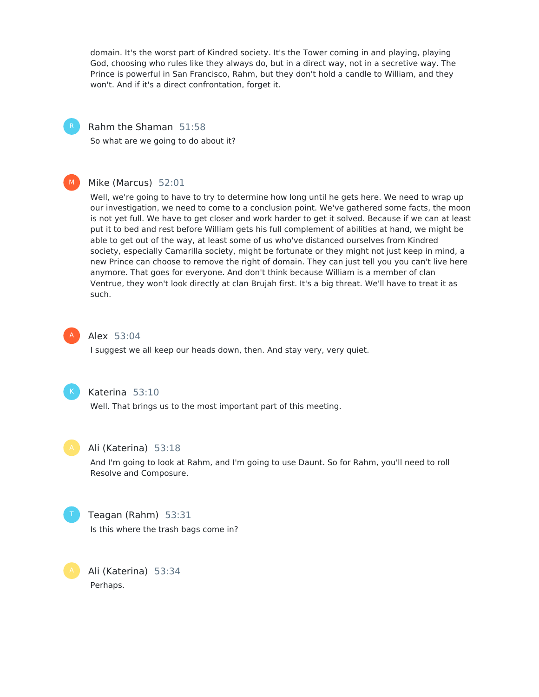domain. It's the worst part of Kindred society. It's the Tower coming in and playing, playing God, choosing who rules like they always do, but in a direct way, not in a secretive way. The Prince is powerful in San Francisco, Rahm, but they don't hold a candle to William, and they won't. And if it's a direct confrontation, forget it.



Rahm the Shaman 51:58

So what are we going to do about it?



### Mike (Marcus) 52:01

Well, we're going to have to try to determine how long until he gets here. We need to wrap up our investigation, we need to come to a conclusion point. We've gathered some facts, the moon is not yet full. We have to get closer and work harder to get it solved. Because if we can at least put it to bed and rest before William gets his full complement of abilities at hand, we might be able to get out of the way, at least some of us who've distanced ourselves from Kindred society, especially Camarilla society, might be fortunate or they might not just keep in mind, a new Prince can choose to remove the right of domain. They can just tell you you can't live here anymore. That goes for everyone. And don't think because William is a member of clan Ventrue, they won't look directly at clan Brujah first. It's a big threat. We'll have to treat it as such.



#### Alex 53:04

I suggest we all keep our heads down, then. And stay very, very quiet.



### Katerina 53:10

Well. That brings us to the most important part of this meeting.



#### Ali (Katerina) 53:18

And I'm going to look at Rahm, and I'm going to use Daunt. So for Rahm, you'll need to roll Resolve and Composure.



#### Teagan (Rahm) 53:31

Is this where the trash bags come in?

Ali (Katerina) 53:34 Perhaps.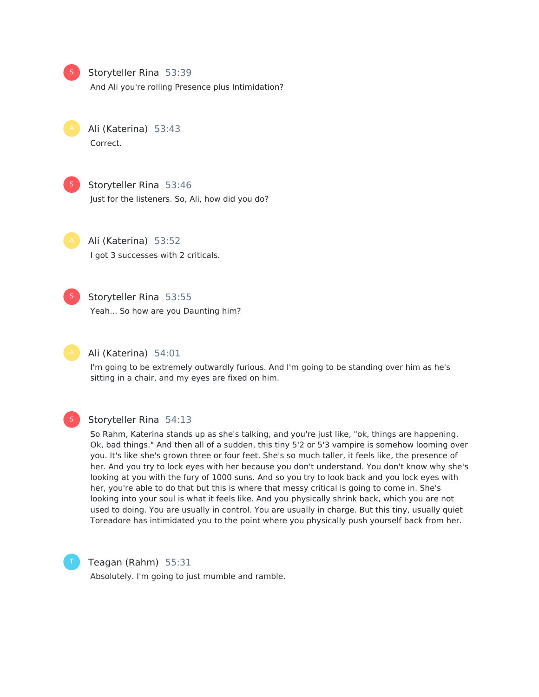

### Storyteller Rina 53:39

And Ali you're rolling Presence plus Intimidation?

Ali (Katerina) 53:43 Correct.

Storyteller Rina 53:46 Just for the listeners. So, Ali, how did you do? S

Ali (Katerina) 53:52 I got 3 successes with 2 criticals.



#### Storyteller Rina 53:55

Yeah... So how are you Daunting him?



#### Ali (Katerina) 54:01

I'm going to be extremely outwardly furious. And I'm going to be standing over him as he's sitting in a chair, and my eyes are fixed on him.



#### Storyteller Rina 54:13

So Rahm, Katerina stands up as she's talking, and you're just like, "ok, things are happening. Ok, bad things." And then all of a sudden, this tiny 5'2 or 5'3 vampire is somehow looming over you. It's like she's grown three or four feet. She's so much taller, it feels like, the presence of her. And you try to lock eyes with her because you don't understand. You don't know why she's looking at you with the fury of 1000 suns. And so you try to look back and you lock eyes with her, you're able to do that but this is where that messy critical is going to come in. She's looking into your soul is what it feels like. And you physically shrink back, which you are not used to doing. You are usually in control. You are usually in charge. But this tiny, usually quiet Toreadore has intimidated you to the point where you physically push yourself back from her.



### Teagan (Rahm) 55:31

Absolutely. I'm going to just mumble and ramble.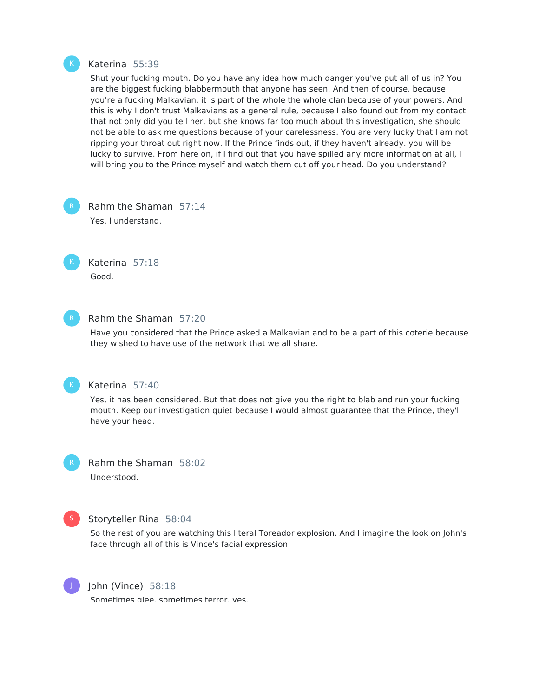

#### Katerina 55:39

Shut your fucking mouth. Do you have any idea how much danger you've put all of us in? You are the biggest fucking blabbermouth that anyone has seen. And then of course, because you're a fucking Malkavian, it is part of the whole the whole clan because of your powers. And this is why I don't trust Malkavians as a general rule, because I also found out from my contact that not only did you tell her, but she knows far too much about this investigation, she should not be able to ask me questions because of your carelessness. You are very lucky that I am not ripping your throat out right now. If the Prince finds out, if they haven't already. you will be lucky to survive. From here on, if I find out that you have spilled any more information at all, I will bring you to the Prince myself and watch them cut off your head. Do you understand?

Rahm the Shaman 57:14 Yes, I understand.



Katerina 57:18 Good.



### Rahm the Shaman 57:20

Have you considered that the Prince asked a Malkavian and to be a part of this coterie because they wished to have use of the network that we all share.



#### Katerina 57:40

Yes, it has been considered. But that does not give you the right to blab and run your fucking mouth. Keep our investigation quiet because I would almost guarantee that the Prince, they'll have your head.



Rahm the Shaman 58:02 Understood.



### Storyteller Rina 58:04

So the rest of you are watching this literal Toreador explosion. And I imagine the look on John's face through all of this is Vince's facial expression.



John (Vince) 58:18

Sometimes glee, sometimes terror, yes.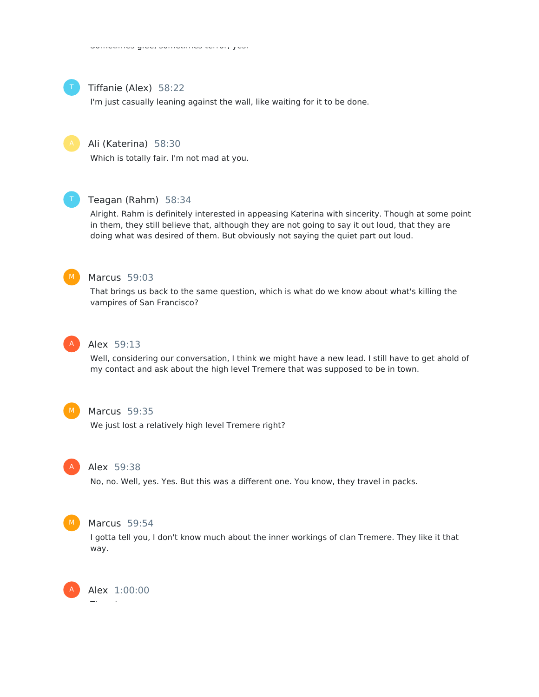

#### Tiffanie (Alex) 58:22

I'm just casually leaning against the wall, like waiting for it to be done.



### Ali (Katerina) 58:30

Which is totally fair. I'm not mad at you.



### Teagan (Rahm) 58:34

Alright. Rahm is definitely interested in appeasing Katerina with sincerity. Though at some point in them, they still believe that, although they are not going to say it out loud, that they are doing what was desired of them. But obviously not saying the quiet part out loud.



#### Marcus 59:03

That brings us back to the same question, which is what do we know about what's killing the vampires of San Francisco?



### Alex 59:13

Well, considering our conversation, I think we might have a new lead. I still have to get ahold of my contact and ask about the high level Tremere that was supposed to be in town.



### Marcus 59:35

We just lost a relatively high level Tremere right?



#### Alex 59:38

No, no. Well, yes. Yes. But this was a different one. You know, they travel in packs.



#### Marcus 59:54

I gotta tell you, I don't know much about the inner workings of clan Tremere. They like it that way.

Alex 1:00:00 They do. A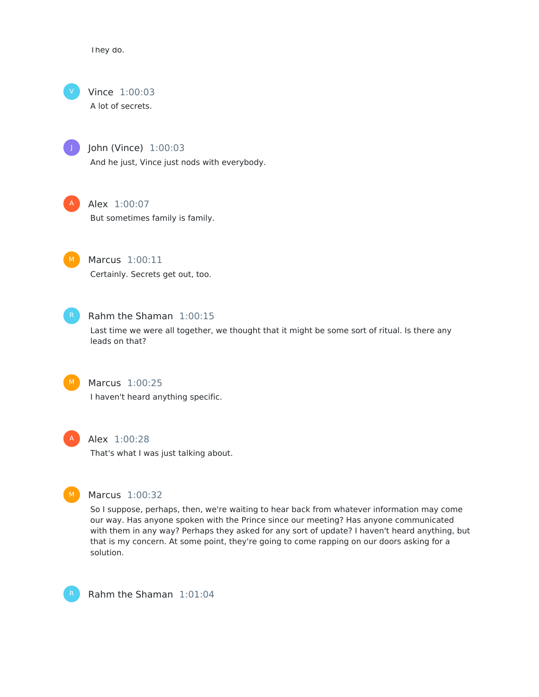They do.



Vince 1:00:03 A lot of secrets.

J

John (Vince) 1:00:03 And he just, Vince just nods with everybody.



### Alex 1:00:07

But sometimes family is family.



Marcus 1:00:11 Certainly. Secrets get out, too.



### Rahm the Shaman 1:00:15

Last time we were all together, we thought that it might be some sort of ritual. Is there any leads on that?



### Marcus 1:00:25 I haven't heard anything specific.



### Alex 1:00:28

That's what I was just talking about.



### Marcus 1:00:32

So I suppose, perhaps, then, we're waiting to hear back from whatever information may come our way. Has anyone spoken with the Prince since our meeting? Has anyone communicated with them in any way? Perhaps they asked for any sort of update? I haven't heard anything, but that is my concern. At some point, they're going to come rapping on our doors asking for a solution.



Rahm the Shaman 1:01:04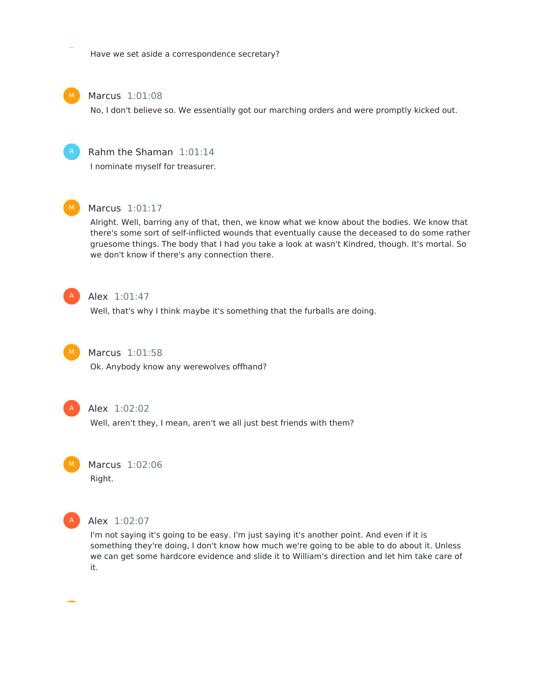Have we set aside a correspondence secretary?



### Marcus 1:01:08

No, I don't believe so. We essentially got our marching orders and were promptly kicked out.



I nominate myself for treasurer.



### Marcus 1:01:17

Alright. Well, barring any of that, then, we know what we know about the bodies. We know that there's some sort of self-inflicted wounds that eventually cause the deceased to do some rather gruesome things. The body that I had you take a look at wasn't Kindred, though. It's mortal. So we don't know if there's any connection there.



### Alex 1:01:47

Well, that's why I think maybe it's something that the furballs are doing.



### Marcus 1:01:58

Ok. Anybody know any werewolves offhand?



### Alex 1:02:02

Well, aren't they, I mean, aren't we all just best friends with them?



Right.



#### Alex 1:02:07

I'm not saying it's going to be easy. I'm just saying it's another point. And even if it is something they're doing, I don't know how much we're going to be able to do about it. Unless we can get some hardcore evidence and slide it to William's direction and let him take care of it.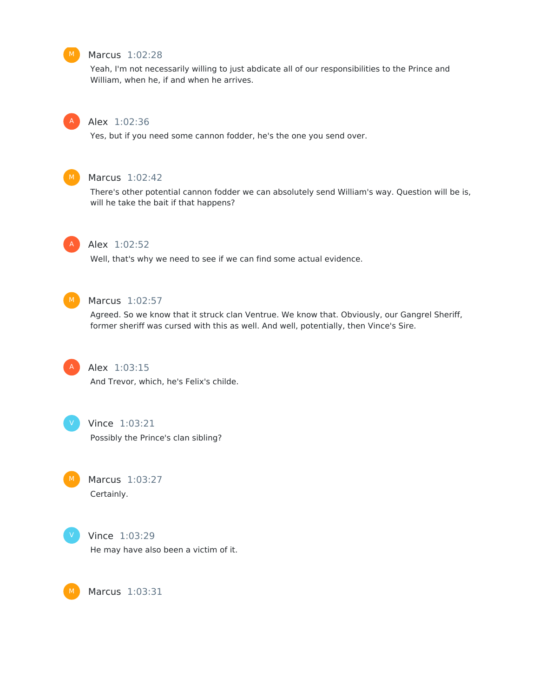

### Marcus 1:02:28

Yeah, I'm not necessarily willing to just abdicate all of our responsibilities to the Prince and William, when he, if and when he arrives.



### Alex 1:02:36

Yes, but if you need some cannon fodder, he's the one you send over.



#### Marcus 1:02:42

There's other potential cannon fodder we can absolutely send William's way. Question will be is, will he take the bait if that happens?



#### Alex 1:02:52

Well, that's why we need to see if we can find some actual evidence.



### Marcus 1:02:57

Agreed. So we know that it struck clan Ventrue. We know that. Obviously, our Gangrel Sheriff, former sheriff was cursed with this as well. And well, potentially, then Vince's Sire.



### Alex 1:03:15

And Trevor, which, he's Felix's childe.



#### Vince 1:03:21

Possibly the Prince's clan sibling?

Marcus 1:03:27 Certainly.



### Vince 1:03:29

He may have also been a victim of it.

Marcus 1:03:31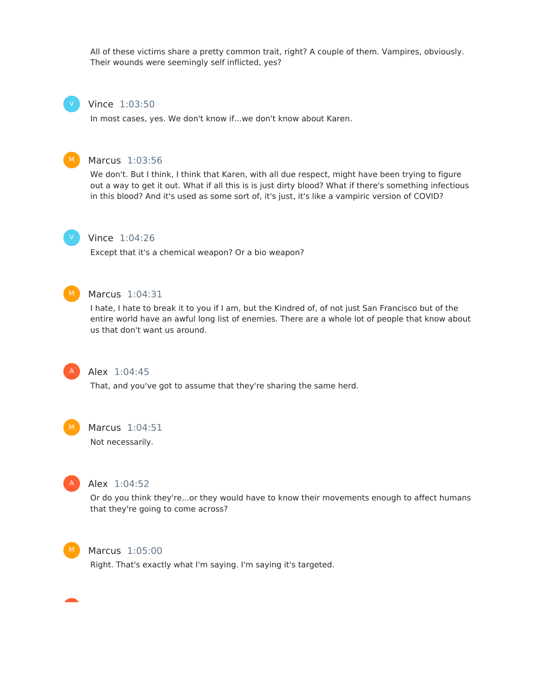All of these victims share a pretty common trait, right? A couple of them. Vampires, obviously. Their wounds were seemingly self inflicted, yes?

#### Vince 1:03:50

In most cases, yes. We don't know if...we don't know about Karen.



V

#### Marcus 1:03:56

We don't. But I think, I think that Karen, with all due respect, might have been trying to figure out a way to get it out. What if all this is is just dirty blood? What if there's something infectious in this blood? And it's used as some sort of, it's just, it's like a vampiric version of COVID?



### Vince 1:04:26

Except that it's a chemical weapon? Or a bio weapon?



#### Marcus 1:04:31

I hate, I hate to break it to you if I am, but the Kindred of, of not just San Francisco but of the entire world have an awful long list of enemies. There are a whole lot of people that know about us that don't want us around.



#### Alex 1:04:45

That, and you've got to assume that they're sharing the same herd.



#### Marcus 1:04:51

Not necessarily.



#### Alex 1:04:52

Or do you think they're...or they would have to know their movements enough to affect humans that they're going to come across?



#### Marcus 1:05:00

Right. That's exactly what I'm saying. I'm saying it's targeted.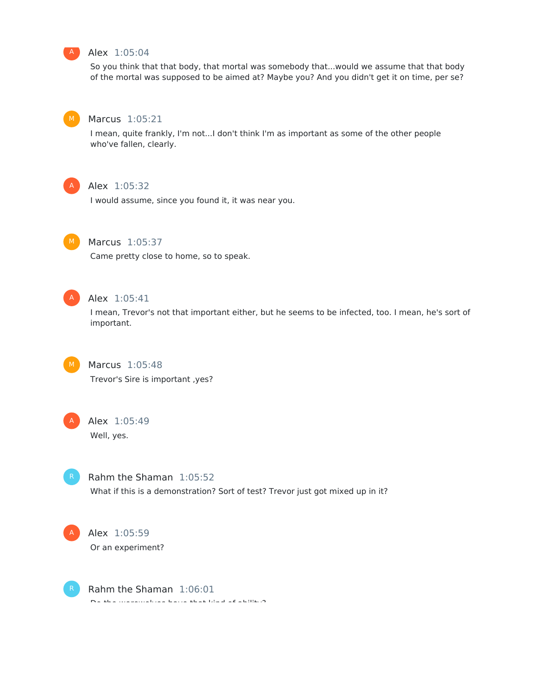

### Alex 1:05:04

So you think that that body, that mortal was somebody that...would we assume that that body of the mortal was supposed to be aimed at? Maybe you? And you didn't get it on time, per se?



#### Marcus 1:05:21

I mean, quite frankly, I'm not...I don't think I'm as important as some of the other people who've fallen, clearly.



### Alex 1:05:32

I would assume, since you found it, it was near you.



### Marcus 1:05:37

Came pretty close to home, so to speak.



### Alex 1:05:41

I mean, Trevor's not that important either, but he seems to be infected, too. I mean, he's sort of important.



### Marcus 1:05:48

Trevor's Sire is important ,yes?



# Alex 1:05:49

Well, yes.



## Rahm the Shaman 1:05:52 What if this is a demonstration? Sort of test? Trevor just got mixed up in it?



Alex 1:05:59 Or an experiment?

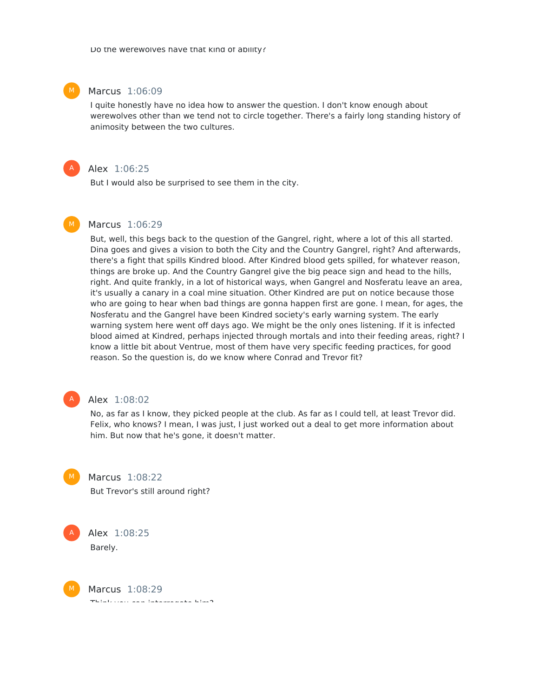#### Marcus 1:06:09

I quite honestly have no idea how to answer the question. I don't know enough about werewolves other than we tend not to circle together. There's a fairly long standing history of animosity between the two cultures.



#### Alex 1:06:25

But I would also be surprised to see them in the city.



### Marcus 1:06:29

But, well, this begs back to the question of the Gangrel, right, where a lot of this all started. Dina goes and gives a vision to both the City and the Country Gangrel, right? And afterwards, there's a fight that spills Kindred blood. After Kindred blood gets spilled, for whatever reason, things are broke up. And the Country Gangrel give the big peace sign and head to the hills, right. And quite frankly, in a lot of historical ways, when Gangrel and Nosferatu leave an area, it's usually a canary in a coal mine situation. Other Kindred are put on notice because those who are going to hear when bad things are gonna happen first are gone. I mean, for ages, the Nosferatu and the Gangrel have been Kindred society's early warning system. The early warning system here went off days ago. We might be the only ones listening. If it is infected blood aimed at Kindred, perhaps injected through mortals and into their feeding areas, right? I know a little bit about Ventrue, most of them have very specific feeding practices, for good reason. So the question is, do we know where Conrad and Trevor fit?



#### Alex 1:08:02

No, as far as I know, they picked people at the club. As far as I could tell, at least Trevor did. Felix, who knows? I mean, I was just, I just worked out a deal to get more information about him. But now that he's gone, it doesn't matter.



M

# Marcus 1:08:22

But Trevor's still around right?



Marcus 1:08:29

Think you can interrogate him?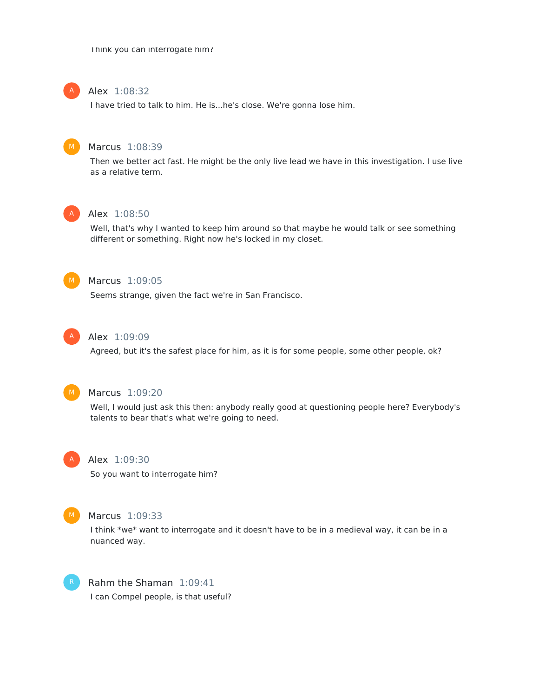Think you can interrogate him?

#### Alex 1:08:32 A

I have tried to talk to him. He is...he's close. We're gonna lose him.



#### Marcus 1:08:39

Then we better act fast. He might be the only live lead we have in this investigation. I use live as a relative term.



### Alex 1:08:50

Well, that's why I wanted to keep him around so that maybe he would talk or see something different or something. Right now he's locked in my closet.



### Marcus 1:09:05

Seems strange, given the fact we're in San Francisco.



#### Alex 1:09:09

Agreed, but it's the safest place for him, as it is for some people, some other people, ok?



#### Marcus 1:09:20

Well, I would just ask this then: anybody really good at questioning people here? Everybody's talents to bear that's what we're going to need.



### Alex 1:09:30

So you want to interrogate him?



#### Marcus 1:09:33

I think \*we\* want to interrogate and it doesn't have to be in a medieval way, it can be in a nuanced way.



Rahm the Shaman 1:09:41 I can Compel people, is that useful?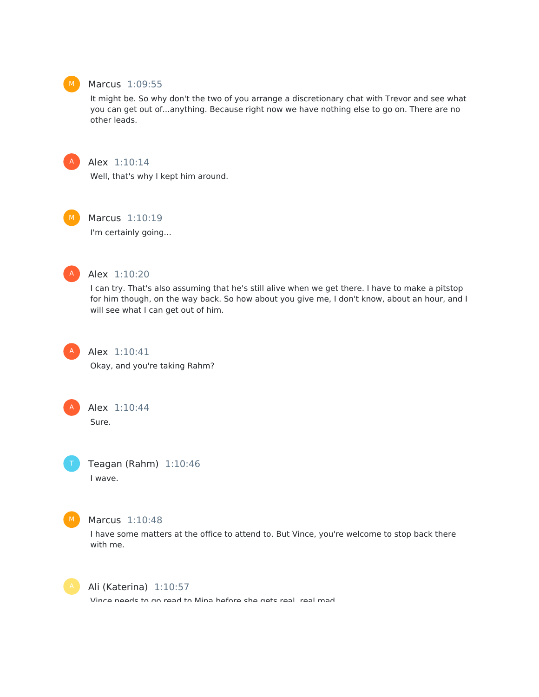

### Marcus 1:09:55

It might be. So why don't the two of you arrange a discretionary chat with Trevor and see what you can get out of...anything. Because right now we have nothing else to go on. There are no other leads.



Alex 1:10:14

Well, that's why I kept him around.

Marcus 1:10:19 I'm certainly going...



### Alex 1:10:20

I can try. That's also assuming that he's still alive when we get there. I have to make a pitstop for him though, on the way back. So how about you give me, I don't know, about an hour, and I will see what I can get out of him.



Alex 1:10:41

Okay, and you're taking Rahm?



Sure.

Teagan (Rahm) 1:10:46 I wave.



### Marcus 1:10:48

I have some matters at the office to attend to. But Vince, you're welcome to stop back there with me.



### Ali (Katerina) 1:10:57

Vince needs to go read to Mina before she gets real, real mad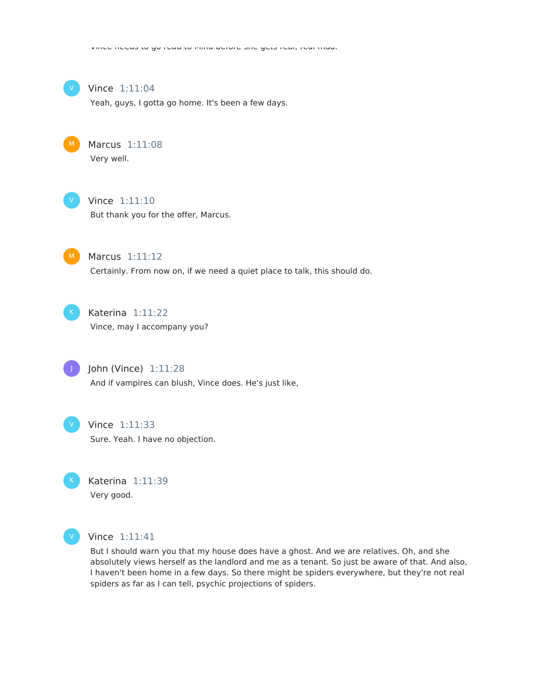

#### Vince 1:11:04

Yeah, guys, I gotta go home. It's been a few days.



### Marcus 1:11:08 Very well.



#### Vince 1:11:10

But thank you for the offer, Marcus.



### Marcus 1:11:12 Certainly. From now on, if we need a quiet place to talk, this should do.



### Katerina 1:11:22

Vince, may I accompany you?



### John (Vince) 1:11:28

And if vampires can blush, Vince does. He's just like,



#### Vince 1:11:33

Sure. Yeah. I have no objection.



### Katerina 1:11:39 Very good.



#### Vince 1:11:41

But I should warn you that my house does have a ghost. And we are relatives. Oh, and she absolutely views herself as the landlord and me as a tenant. So just be aware of that. And also, I haven't been home in a few days. So there might be spiders everywhere, but they're not real spiders as far as I can tell, psychic projections of spiders.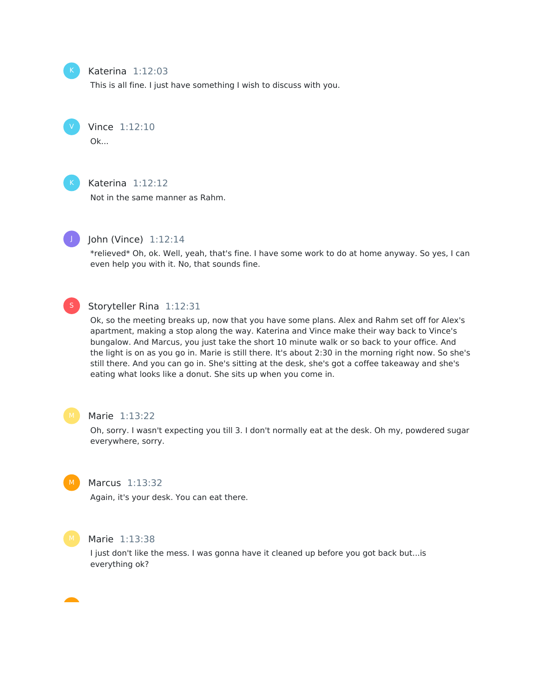

V

#### Katerina 1:12:03

This is all fine. I just have something I wish to discuss with you.

Vince 1:12:10

Ok...



### Katerina 1:12:12

Not in the same manner as Rahm.



### John (Vince) 1:12:14

\*relieved\* Oh, ok. Well, yeah, that's fine. I have some work to do at home anyway. So yes, I can even help you with it. No, that sounds fine.



### Storyteller Rina 1:12:31

Ok, so the meeting breaks up, now that you have some plans. Alex and Rahm set off for Alex's apartment, making a stop along the way. Katerina and Vince make their way back to Vince's bungalow. And Marcus, you just take the short 10 minute walk or so back to your office. And the light is on as you go in. Marie is still there. It's about 2:30 in the morning right now. So she's still there. And you can go in. She's sitting at the desk, she's got a coffee takeaway and she's eating what looks like a donut. She sits up when you come in.



#### Marie 1:13:22

Oh, sorry. I wasn't expecting you till 3. I don't normally eat at the desk. Oh my, powdered sugar everywhere, sorry.



#### Marcus 1:13:32

Again, it's your desk. You can eat there.



#### Marie 1:13:38

I just don't like the mess. I was gonna have it cleaned up before you got back but...is everything ok?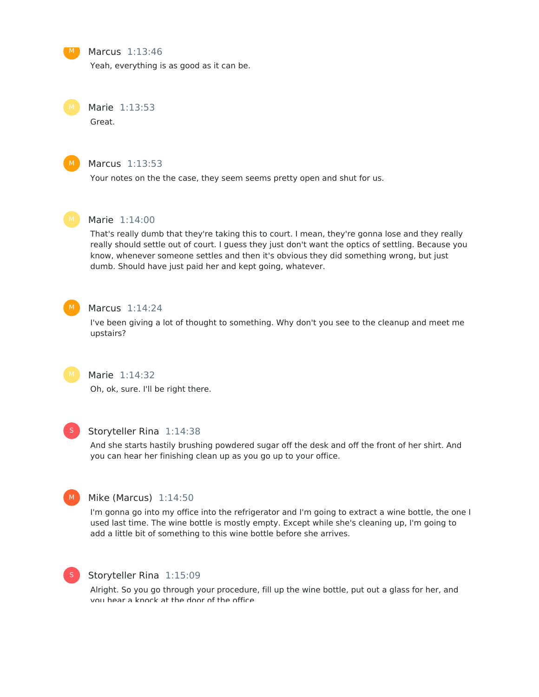

#### Marcus 1:13:46

Yeah, everything is as good as it can be.

Marie 1:13:53

Great.



#### Marcus 1:13:53

Your notes on the the case, they seem seems pretty open and shut for us.



#### Marie 1:14:00

That's really dumb that they're taking this to court. I mean, they're gonna lose and they really really should settle out of court. I guess they just don't want the optics of settling. Because you know, whenever someone settles and then it's obvious they did something wrong, but just dumb. Should have just paid her and kept going, whatever.



#### Marcus 1:14:24

I've been giving a lot of thought to something. Why don't you see to the cleanup and meet me upstairs?



### Marie 1:14:32

Oh, ok, sure. I'll be right there.



#### Storyteller Rina 1:14:38

And she starts hastily brushing powdered sugar off the desk and off the front of her shirt. And you can hear her finishing clean up as you go up to your office.



### Mike (Marcus) 1:14:50

I'm gonna go into my office into the refrigerator and I'm going to extract a wine bottle, the one I used last time. The wine bottle is mostly empty. Except while she's cleaning up, I'm going to add a little bit of something to this wine bottle before she arrives.



#### Storyteller Rina 1:15:09

Alright. So you go through your procedure, fill up the wine bottle, put out a glass for her, and you hear a knock at the door of the office.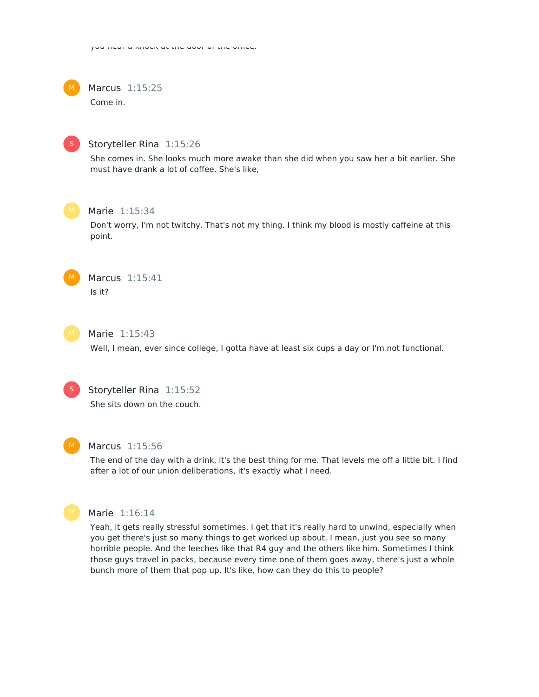

Marcus 1:15:25 Come in.



#### Storyteller Rina 1:15:26

She comes in. She looks much more awake than she did when you saw her a bit earlier. She must have drank a lot of coffee. She's like,



#### Marie 1:15:34

Don't worry, I'm not twitchy. That's not my thing. I think my blood is mostly caffeine at this point.



Marcus 1:15:41 Is it?



### Marie 1:15:43

Well, I mean, ever since college, I gotta have at least six cups a day or I'm not functional.



## Storyteller Rina 1:15:52

She sits down on the couch.



#### Marcus 1:15:56

The end of the day with a drink, it's the best thing for me. That levels me off a little bit. I find after a lot of our union deliberations, it's exactly what I need.



### Marie 1:16:14

Yeah, it gets really stressful sometimes. I get that it's really hard to unwind, especially when you get there's just so many things to get worked up about. I mean, just you see so many horrible people. And the leeches like that R4 guy and the others like him. Sometimes I think those guys travel in packs, because every time one of them goes away, there's just a whole bunch more of them that pop up. It's like, how can they do this to people?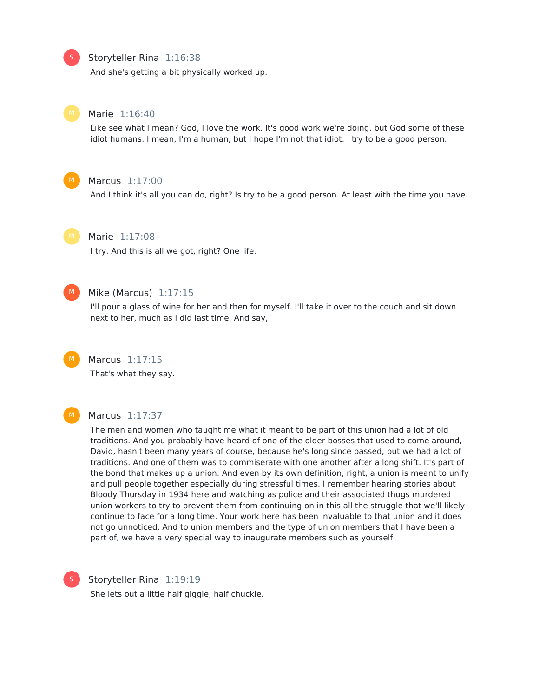### Storyteller Rina 1:16:38

And she's getting a bit physically worked up.



S

#### Marie 1:16:40

Like see what I mean? God, I love the work. It's good work we're doing. but God some of these idiot humans. I mean, I'm a human, but I hope I'm not that idiot. I try to be a good person.



### Marcus 1:17:00

And I think it's all you can do, right? Is try to be a good person. At least with the time you have.



### Marie 1:17:08

I try. And this is all we got, right? One life.



#### Mike (Marcus) 1:17:15

I'll pour a glass of wine for her and then for myself. I'll take it over to the couch and sit down next to her, much as I did last time. And say,



#### Marcus 1:17:15

That's what they say.



#### Marcus 1:17:37

The men and women who taught me what it meant to be part of this union had a lot of old traditions. And you probably have heard of one of the older bosses that used to come around, David, hasn't been many years of course, because he's long since passed, but we had a lot of traditions. And one of them was to commiserate with one another after a long shift. It's part of the bond that makes up a union. And even by its own definition, right, a union is meant to unify and pull people together especially during stressful times. I remember hearing stories about Bloody Thursday in 1934 here and watching as police and their associated thugs murdered union workers to try to prevent them from continuing on in this all the struggle that we'll likely continue to face for a long time. Your work here has been invaluable to that union and it does not go unnoticed. And to union members and the type of union members that I have been a part of, we have a very special way to inaugurate members such as yourself



#### Storyteller Rina 1:19:19

She lets out a little half giggle, half chuckle.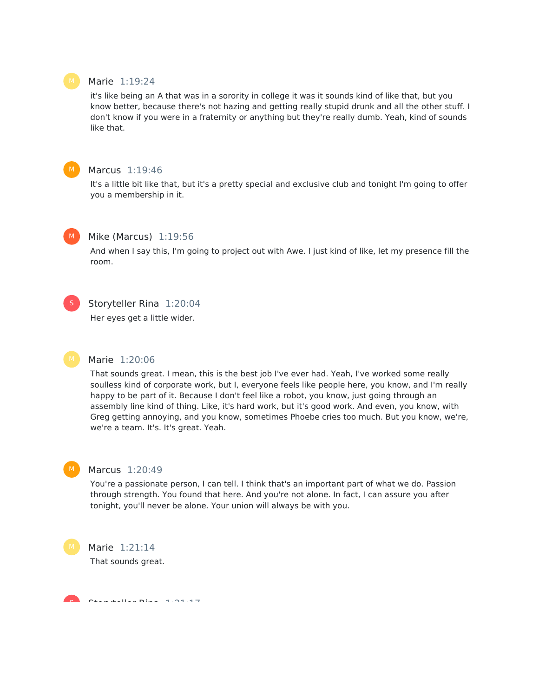#### Marie 1:19:24

it's like being an A that was in a sorority in college it was it sounds kind of like that, but you know better, because there's not hazing and getting really stupid drunk and all the other stuff. I don't know if you were in a fraternity or anything but they're really dumb. Yeah, kind of sounds like that.



### Marcus 1:19:46

It's a little bit like that, but it's a pretty special and exclusive club and tonight I'm going to offer you a membership in it.



#### Mike (Marcus) 1:19:56

And when I say this, I'm going to project out with Awe. I just kind of like, let my presence fill the room.



#### Storyteller Rina 1:20:04

Her eyes get a little wider.

#### Marie 1:20:06

That sounds great. I mean, this is the best job I've ever had. Yeah, I've worked some really soulless kind of corporate work, but I, everyone feels like people here, you know, and I'm really happy to be part of it. Because I don't feel like a robot, you know, just going through an assembly line kind of thing. Like, it's hard work, but it's good work. And even, you know, with Greg getting annoying, and you know, sometimes Phoebe cries too much. But you know, we're, we're a team. It's. It's great. Yeah.



#### Marcus 1:20:49

You're a passionate person, I can tell. I think that's an important part of what we do. Passion through strength. You found that here. And you're not alone. In fact, I can assure you after tonight, you'll never be alone. Your union will always be with you.

#### Marie 1:21:14

That sounds great.

Storyteller Rina 1:21:17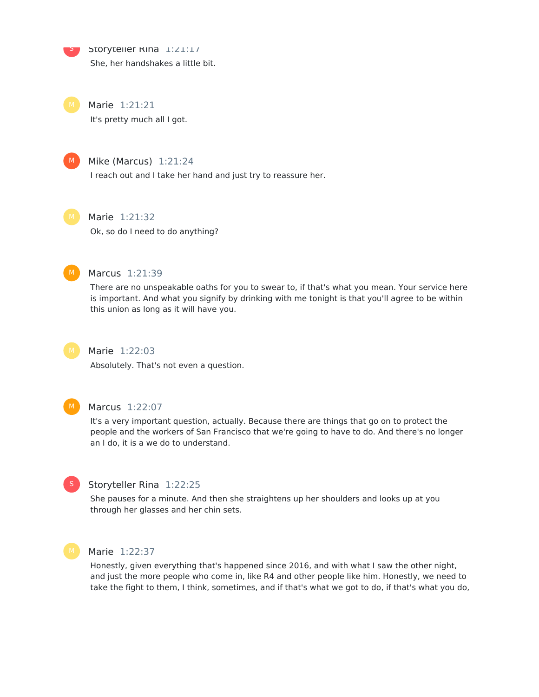Storyteller Rina 1:21:17 She, her handshakes a little bit.

S

Marie 1:21:21 It's pretty much all I got.



### Mike (Marcus) 1:21:24

I reach out and I take her hand and just try to reassure her.



### Marie 1:21:32

Ok, so do I need to do anything?



### Marcus 1:21:39

There are no unspeakable oaths for you to swear to, if that's what you mean. Your service here is important. And what you signify by drinking with me tonight is that you'll agree to be within this union as long as it will have you.



### Marie 1:22:03

Absolutely. That's not even a question.



#### Marcus 1:22:07

It's a very important question, actually. Because there are things that go on to protect the people and the workers of San Francisco that we're going to have to do. And there's no longer an I do, it is a we do to understand.



### Storyteller Rina 1:22:25

She pauses for a minute. And then she straightens up her shoulders and looks up at you through her glasses and her chin sets.



#### Marie 1:22:37

Honestly, given everything that's happened since 2016, and with what I saw the other night, and just the more people who come in, like R4 and other people like him. Honestly, we need to take the fight to them, I think, sometimes, and if that's what we got to do, if that's what you do,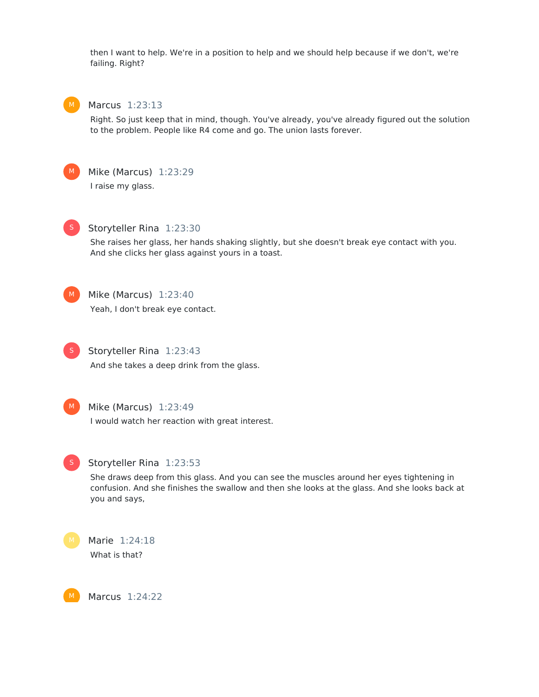then I want to help. We're in a position to help and we should help because if we don't, we're failing. Right?



### Marcus 1:23:13

Right. So just keep that in mind, though. You've already, you've already figured out the solution to the problem. People like R4 come and go. The union lasts forever.



Mike (Marcus) 1:23:29 I raise my glass.



### Storyteller Rina 1:23:30

She raises her glass, her hands shaking slightly, but she doesn't break eye contact with you. And she clicks her glass against yours in a toast.



# Mike (Marcus) 1:23:40

Yeah, I don't break eye contact.



Storyteller Rina 1:23:43 And she takes a deep drink from the glass.



### Mike (Marcus) 1:23:49

I would watch her reaction with great interest.



#### Storyteller Rina 1:23:53

She draws deep from this glass. And you can see the muscles around her eyes tightening in confusion. And she finishes the swallow and then she looks at the glass. And she looks back at you and says,

Marie 1:24:18 What is that?

Marcus 1:24:22 M